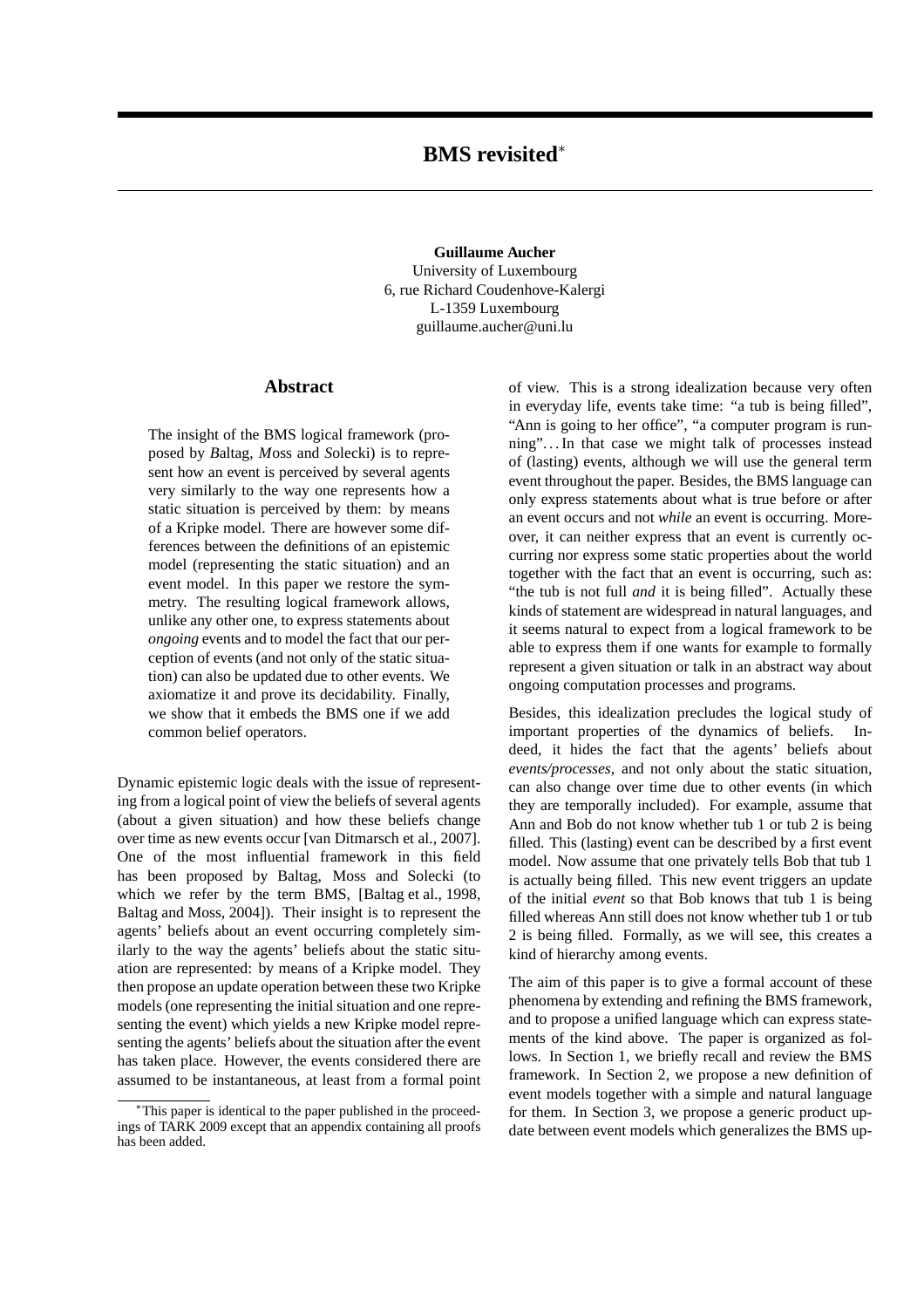**Guillaume Aucher** University of Luxembourg 6, rue Richard Coudenhove-Kalergi L-1359 Luxembourg guillaume.aucher@uni.lu

# **Abstract**

The insight of the BMS logical framework (proposed by *B*altag, *M*oss and *S*olecki) is to represent how an event is perceived by several agents very similarly to the way one represents how a static situation is perceived by them: by means of a Kripke model. There are however some differences between the definitions of an epistemic model (representing the static situation) and an event model. In this paper we restore the symmetry. The resulting logical framework allows, unlike any other one, to express statements about *ongoing* events and to model the fact that our perception of events (and not only of the static situation) can also be updated due to other events. We axiomatize it and prove its decidability. Finally, we show that it embeds the BMS one if we add common belief operators.

Dynamic epistemic logic deals with the issue of representing from a logical point of view the beliefs of several agents (about a given situation) and how these beliefs change over time as new events occur [van Ditmarsch et al., 2007]. One of the most influential framework in this field has been proposed by Baltag, Moss and Solecki (to which we refer by the term BMS, [Baltag et al., 1998, Baltag and Moss, 2004]). Their insight is to represent the agents' beliefs about an event occurring completely similarly to the way the agents' beliefs about the static situation are represented: by means of a Kripke model. They then propose an update operation between these two Kripke models (one representing the initial situation and one representing the event) which yields a new Kripke model representing the agents' beliefs about the situation after the event has taken place. However, the events considered there are assumed to be instantaneous, at least from a formal point of view. This is a strong idealization because very often in everyday life, events take time: "a tub is being filled", "Ann is going to her office", "a computer program is running". . . In that case we might talk of processes instead of (lasting) events, although we will use the general term event throughout the paper. Besides, the BMS language can only express statements about what is true before or after an event occurs and not *while* an event is occurring. Moreover, it can neither express that an event is currently occurring nor express some static properties about the world together with the fact that an event is occurring, such as: "the tub is not full *and* it is being filled". Actually these kinds of statement are widespread in natural languages, and it seems natural to expect from a logical framework to be able to express them if one wants for example to formally represent a given situation or talk in an abstract way about ongoing computation processes and programs.

Besides, this idealization precludes the logical study of important properties of the dynamics of beliefs. Indeed, it hides the fact that the agents' beliefs about *events/processes*, and not only about the static situation, can also change over time due to other events (in which they are temporally included). For example, assume that Ann and Bob do not know whether tub 1 or tub 2 is being filled. This (lasting) event can be described by a first event model. Now assume that one privately tells Bob that tub 1 is actually being filled. This new event triggers an update of the initial *event* so that Bob knows that tub 1 is being filled whereas Ann still does not know whether tub 1 or tub 2 is being filled. Formally, as we will see, this creates a kind of hierarchy among events.

The aim of this paper is to give a formal account of these phenomena by extending and refining the BMS framework, and to propose a unified language which can express statements of the kind above. The paper is organized as follows. In Section 1, we briefly recall and review the BMS framework. In Section 2, we propose a new definition of event models together with a simple and natural language for them. In Section 3, we propose a generic product update between event models which generalizes the BMS up-

<sup>∗</sup>This paper is identical to the paper published in the proceedings of TARK 2009 except that an appendix containing all proofs has been added.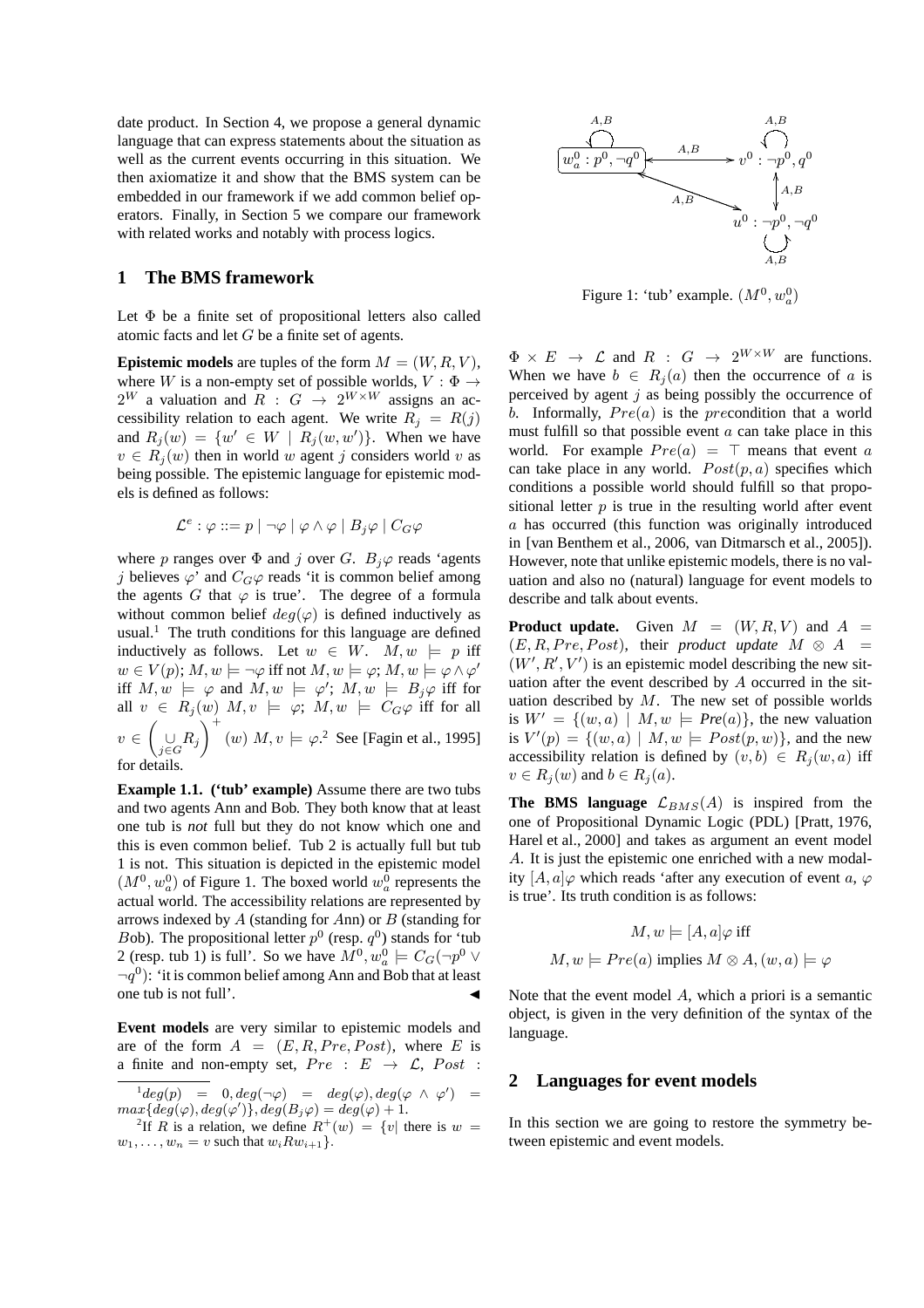date product. In Section 4, we propose a general dynamic language that can express statements about the situation as well as the current events occurring in this situation. We then axiomatize it and show that the BMS system can be embedded in our framework if we add common belief operators. Finally, in Section 5 we compare our framework with related works and notably with process logics.

## **1 The BMS framework**

Let  $\Phi$  be a finite set of propositional letters also called atomic facts and let G be a finite set of agents.

**Epistemic models** are tuples of the form  $M = (W, R, V)$ , where W is a non-empty set of possible worlds,  $V : \Phi \rightarrow$  $2^W$  a valuation and  $R : G \rightarrow 2^{W \times W}$  assigns an accessibility relation to each agent. We write  $R_j = R(j)$ and  $R_j(w) = \{w' \in W \mid R_j(w, w')\}$ . When we have  $v \in R_i(w)$  then in world w agent j considers world v as being possible. The epistemic language for epistemic models is defined as follows:

$$
\mathcal{L}^e: \varphi ::= p \mid \neg \varphi \mid \varphi \land \varphi \mid B_j \varphi \mid C_G \varphi
$$

where p ranges over  $\Phi$  and j over G.  $B_i\varphi$  reads 'agents j believes  $\varphi'$  and  $C_G\varphi$  reads 'it is common belief among the agents G that  $\varphi$  is true'. The degree of a formula without common belief  $deg(\varphi)$  is defined inductively as usual.<sup>1</sup> The truth conditions for this language are defined inductively as follows. Let  $w \in W$ .  $M, w \models p$  iff  $w \in V(p); M, w \models \neg \varphi$  iff not  $M, w \models \varphi; M, w \models \varphi \land \varphi'$ iff  $M, w \models \varphi$  and  $M, w \models \varphi'$ ;  $M, w \models B_j \varphi$  iff for all  $v \in R_j(w)$   $M, v \models \varphi; M, w \models C_G \varphi$  iff for all  $v \in$  $\sqrt{ }$  $\bigcup\limits_{j\in G}R_j$  $\setminus^+$  $(w)$   $M, v \models \varphi$ <sup>2</sup> See [Fagin et al., 1995] for details.

**Example 1.1. ('tub' example)** Assume there are two tubs and two agents Ann and Bob. They both know that at least one tub is *not* full but they do not know which one and this is even common belief. Tub 2 is actually full but tub 1 is not. This situation is depicted in the epistemic model  $(M^0, w_a^0)$  of Figure 1. The boxed world  $w_a^0$  represents the actual world. The accessibility relations are represented by arrows indexed by A (standing for Ann) or B (standing for Bob). The propositional letter  $p^0$  (resp.  $q^0$ ) stands for 'tub 2 (resp. tub 1) is full'. So we have  $M^0, w_a^0 \models C_G(\neg p^0 \vee \neg p^0)$  $\neg q^{0}$ : 'it is common belief among Ann and Bob that at least one tub is not full'.

**Event models** are very similar to epistemic models and are of the form  $A = (E, R, Pre, Post)$ , where E is a finite and non-empty set,  $Pre : E \rightarrow \mathcal{L}$ ,  $Post :$ 



Figure 1: 'tub' example.  $(M^0, w_a^0)$ 

 $\Phi \times E \rightarrow \mathcal{L}$  and  $R : G \rightarrow 2^{W \times W}$  are functions. When we have  $b \in R_i(a)$  then the occurrence of a is perceived by agent  $j$  as being possibly the occurrence of b. Informally,  $Pre(a)$  is the precondition that a world must fulfill so that possible event  $a$  can take place in this world. For example  $Pre(a) = \top$  means that event a can take place in any world.  $Post(p, a)$  specifies which conditions a possible world should fulfill so that propositional letter  $p$  is true in the resulting world after event a has occurred (this function was originally introduced in [van Benthem et al., 2006, van Ditmarsch et al., 2005]). However, note that unlike epistemic models, there is no valuation and also no (natural) language for event models to describe and talk about events.

**Product update.** Given  $M = (W, R, V)$  and  $A =$  $(E, R, Pre, Post)$ , their *product update*  $M \otimes A$  $(W', R', V')$  is an epistemic model describing the new situation after the event described by A occurred in the situation described by  $M$ . The new set of possible worlds is  $W' = \{(w, a) | M, w \models Pre(a)\}\$ , the new valuation is  $V'(p) = \{(w, a) \mid M, w \models Post(p, w)\}\)$ , and the new accessibility relation is defined by  $(v, b) \in R_i(w, a)$  iff  $v \in R_i(w)$  and  $b \in R_i(a)$ .

**The BMS language**  $\mathcal{L}_{BMS}(A)$  is inspired from the one of Propositional Dynamic Logic (PDL) [Pratt, 1976, Harel et al., 2000] and takes as argument an event model A. It is just the epistemic one enriched with a new modality  $[A, a] \varphi$  which reads 'after any execution of event a,  $\varphi$ is true'. Its truth condition is as follows:

$$
M, w \models [A, a] \varphi \text{ iff } \\ M, w \models Pre(a) \text{ implies } M \otimes A, (w, a) \models \varphi
$$

Note that the event model A, which a priori is a semantic object, is given in the very definition of the syntax of the language.

### **2 Languages for event models**

In this section we are going to restore the symmetry between epistemic and event models.

 $\deg(p) = 0, deg(\neg \varphi) = deg(\varphi), deg(\varphi \wedge \varphi') = 0$  $max\{deg(\varphi), deg(\varphi')\}, deg(B_j\varphi) = deg(\varphi) + 1.$ <br><sup>2</sup>If *B* is a relation, we define  $B^+(w) = \{w | y \}$ 

<sup>&</sup>lt;sup>2</sup>If R is a relation, we define  $R^+(w) = \{v |$  there is  $w =$  $w_1, \ldots, w_n = v$  such that  $w_i R w_{i+1}$ .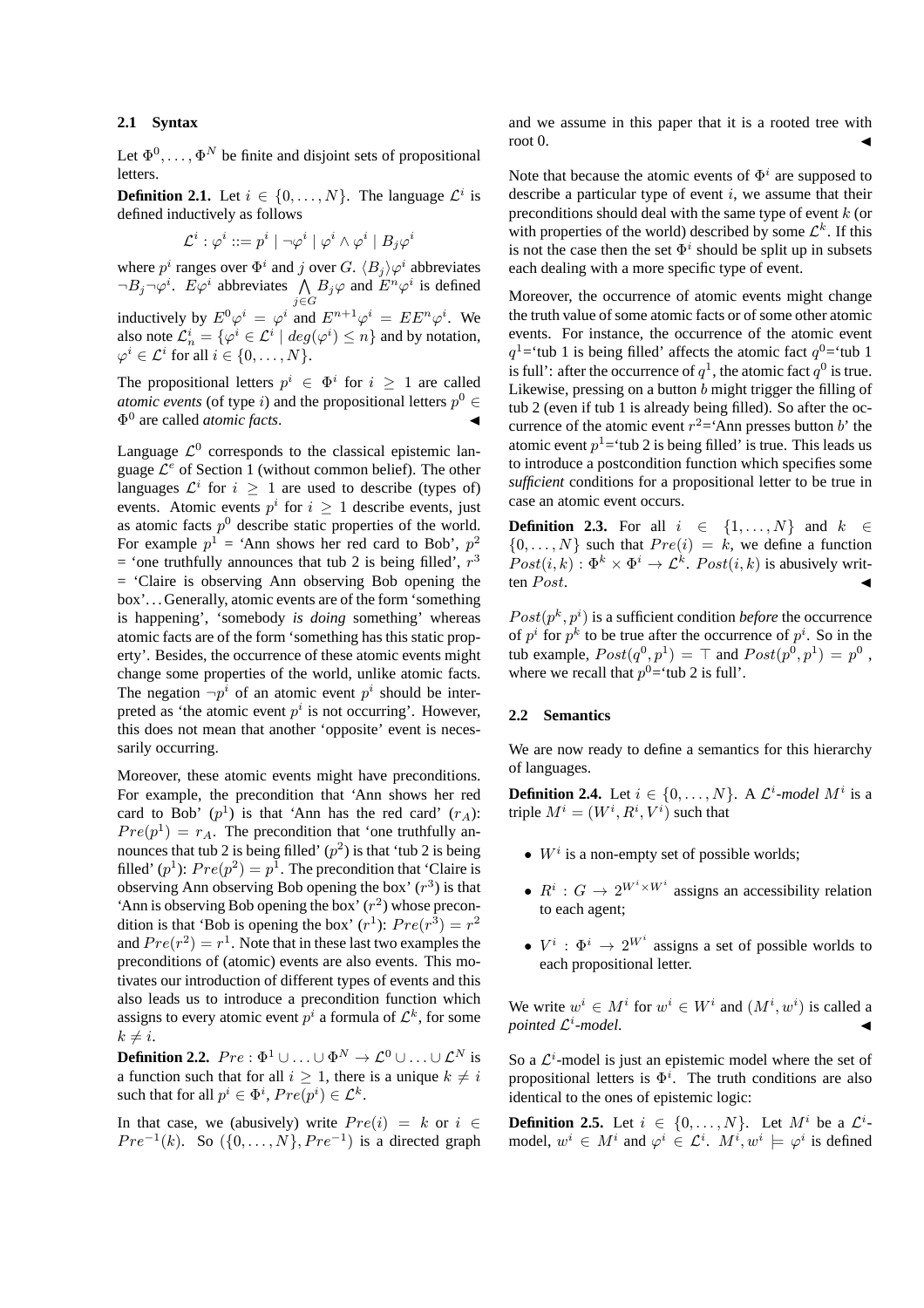### **2.1 Syntax**

Let  $\Phi^0, \ldots, \Phi^N$  be finite and disjoint sets of propositional letters.

**Definition 2.1.** Let  $i \in \{0, ..., N\}$ . The language  $\mathcal{L}^i$  is defined inductively as follows

$$
\mathcal{L}^i: \varphi^i ::= p^i \mid \neg \varphi^i \mid \varphi^i \wedge \varphi^i \mid B_j \varphi^i
$$

where  $p^i$  ranges over  $\Phi^i$  and j over G.  $\langle B_i \rangle \varphi^i$  abbreviates  $\neg B_j \neg \varphi^i$ .  $E\varphi^i$  abbreviates  $\bigwedge_i B_j \varphi$  and  $E^n \varphi^i$  is defined inductively by  $E^0 \varphi^i = \varphi^i$  and  $E^{n+1} \varphi^i = E E^n \varphi^i$ . We also note  $\mathcal{L}_n^i = \{ \varphi^i \in \mathcal{L}^i \mid deg(\varphi^i) \leq n \}$  and by notation,  $\varphi^i \in \mathcal{L}^i$  for all  $i \in \{0, \ldots, N\}.$ 

The propositional letters  $p^i \in \Phi^i$  for  $i \geq 1$  are called *atomic events* (of type *i*) and the propositional letters  $p^0 \in$ Φ<sup>0</sup> are called *atomic facts*. J

Language  $\mathcal{L}^0$  corresponds to the classical epistemic language  $\mathcal{L}^e$  of Section 1 (without common belief). The other languages  $\mathcal{L}^i$  for  $i \geq 1$  are used to describe (types of) events. Atomic events  $p^i$  for  $i \geq 1$  describe events, just as atomic facts  $p^0$  describe static properties of the world. For example  $p^1$  = 'Ann shows her red card to Bob',  $p^2$ = 'one truthfully announces that tub 2 is being filled',  $r^3$ = 'Claire is observing Ann observing Bob opening the box'. . . Generally, atomic events are of the form 'something is happening', 'somebody *is doing* something' whereas atomic facts are of the form 'something has this static property'. Besides, the occurrence of these atomic events might change some properties of the world, unlike atomic facts. The negation  $\neg p^i$  of an atomic event  $p^i$  should be interpreted as 'the atomic event  $p^i$  is not occurring'. However, this does not mean that another 'opposite' event is necessarily occurring.

Moreover, these atomic events might have preconditions. For example, the precondition that 'Ann shows her red card to Bob'  $(p<sup>1</sup>)$  is that 'Ann has the red card'  $(r_A)$ :  $Pre(p^{1}) = r_{A}$ . The precondition that 'one truthfully announces that tub 2 is being filled'  $(p^2)$  is that 'tub 2 is being filled'  $(p^1)$ :  $Pre(p^2) = p^1$ . The precondition that 'Claire is observing Ann observing Bob opening the box'  $(r^3)$  is that 'Ann is observing Bob opening the box'  $(r^2)$  whose precondition is that 'Bob is opening the box'  $(r^1)$ :  $Pre(r^3) = r^2$ and  $Pre(r^2) = r^1$ . Note that in these last two examples the preconditions of (atomic) events are also events. This motivates our introduction of different types of events and this also leads us to introduce a precondition function which assigns to every atomic event  $p^i$  a formula of  $\mathcal{L}^k$ , for some  $k \neq i$ .

**Definition 2.2.**  $Pre : \Phi^1 \cup ... \cup \Phi^N \to \mathcal{L}^0 \cup ... \cup \mathcal{L}^N$  is a function such that for all  $i \geq 1$ , there is a unique  $k \neq i$ such that for all  $p^i \in \Phi^i$ ,  $Pre(p^i) \in \mathcal{L}^k$ .

In that case, we (abusively) write  $Pre(i) = k$  or  $i \in$  $Pre^{-1}(k)$ . So  $({0, \ldots, N}, Pre^{-1})$  is a directed graph and we assume in this paper that it is a rooted tree with root 0.

Note that because the atomic events of  $\Phi^i$  are supposed to describe a particular type of event  $i$ , we assume that their preconditions should deal with the same type of event  $k$  (or with properties of the world) described by some  $\mathcal{L}^k$ . If this is not the case then the set  $\Phi^i$  should be split up in subsets each dealing with a more specific type of event.

Moreover, the occurrence of atomic events might change the truth value of some atomic facts or of some other atomic events. For instance, the occurrence of the atomic event  $q<sup>1</sup>$ ='tub 1 is being filled' affects the atomic fact  $q<sup>0</sup>$ ='tub 1 is full': after the occurrence of  $q^1$ , the atomic fact  $q^0$  is true. Likewise, pressing on a button  $b$  might trigger the filling of tub 2 (even if tub 1 is already being filled). So after the occurrence of the atomic event  $r^2$ ='Ann presses button b' the atomic event  $p<sup>1</sup>$ ='tub 2 is being filled' is true. This leads us to introduce a postcondition function which specifies some *sufficient* conditions for a propositional letter to be true in case an atomic event occurs.

**Definition 2.3.** For all  $i \in \{1, ..., N\}$  and  $k \in$  $\{0, \ldots, N\}$  such that  $Pre(i) = k$ , we define a function  $Post(i, k) : \Phi^k \times \Phi^i \to \mathcal{L}^k$ .  $Post(i, k)$  is abusively written  $Post$ .

 $Post(p^k, p^i)$  is a sufficient condition *before* the occurrence of  $p^i$  for  $p^k$  to be true after the occurrence of  $p^i$ . So in the tub example,  $Post(q^0, p^1) = \top$  and  $Post(p^0, p^1) = p^0$ , where we recall that  $p^0$ ='tub 2 is full'.

#### **2.2 Semantics**

We are now ready to define a semantics for this hierarchy of languages.

**Definition 2.4.** Let  $i \in \{0, ..., N\}$ . A  $\mathcal{L}^i$ -model  $M^i$  is a triple  $M^i = (W^i, R^i, V^i)$  such that

- $W^i$  is a non-empty set of possible worlds;
- $R^i: G \to 2^{W^i \times W^i}$  assigns an accessibility relation to each agent;
- $V^i$ :  $\Phi^i \rightarrow 2^{W^i}$  assigns a set of possible worlds to each propositional letter.

We write  $w^i \in M^i$  for  $w^i \in W^i$  and  $(M^i, w^i)$  is called a  $pointed$   $\mathcal{L}^i$ -model.

So a  $\mathcal{L}^i$ -model is just an epistemic model where the set of propositional letters is  $\Phi^i$ . The truth conditions are also identical to the ones of epistemic logic:

**Definition 2.5.** Let  $i \in \{0, ..., N\}$ . Let  $M^i$  be a  $\mathcal{L}^i$ model,  $w^i \in M^i$  and  $\varphi^i \in \mathcal{L}^i$ .  $M^i, w^i \models \varphi^i$  is defined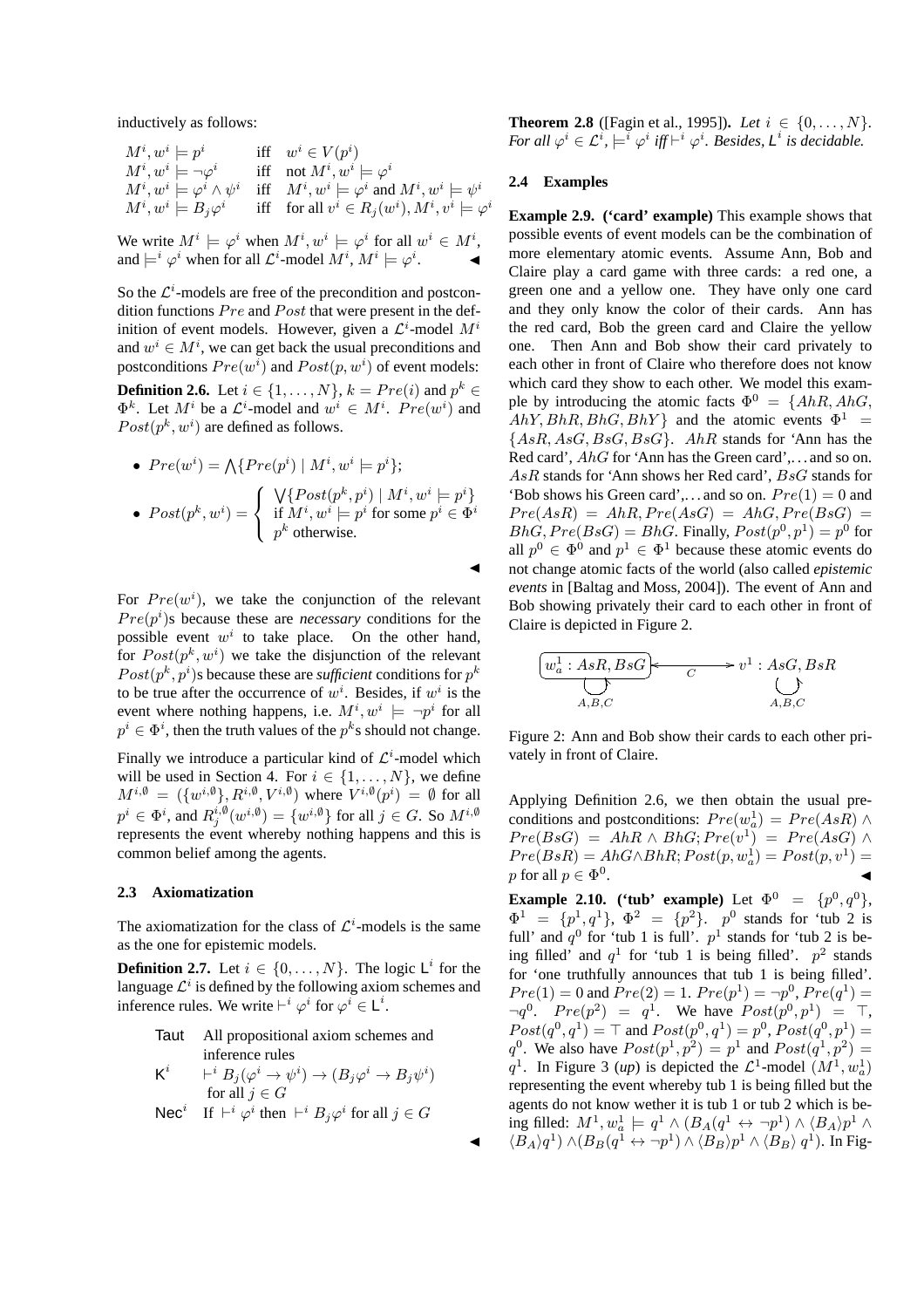inductively as follows:

$$
\begin{array}{llll} M^i, w^i \models p^i & \text{iff} & w^i \in V(p^i) \\ M^i, w^i \models \neg \varphi^i & \text{iff} & \text{not } M^i, w^i \models \varphi^i \\ M^i, w^i \models \varphi^i \land \psi^i & \text{iff} & M^i, w^i \models \varphi^i \text{ and } M^i, w^i \models \psi^i \\ M^i, w^i \models B_j \varphi^i & \text{iff} & \text{for all } v^i \in R_j(w^i), M^i, v^i \models \varphi^i \end{array}
$$

We write  $M^i \models \varphi^i$  when  $M^i, w^i \models \varphi^i$  for all  $w^i \in M^i$ , and  $\models^i \varphi^i$  when for all  $\mathcal{L}^i\text{-model }M^i$ ,  $M^i\models \varphi^i$  $\mathcal{L} = \mathcal{L}$ 

So the  $\mathcal{L}^i$ -models are free of the precondition and postcondition functions  $Pre$  and  $Post$  that were present in the definition of event models. However, given a  $\mathcal{L}^i$ -model  $M^i$ and  $w^i \in M^i$ , we can get back the usual preconditions and postconditions  $Pre(w^i)$  and  $Post(p, w^i)$  of event models: **Definition 2.6.** Let  $i \in \{1, \ldots, N\}$ ,  $k = Pre(i)$  and  $p^k \in$  $\Phi^k$ . Let  $M^i$  be a  $\mathcal{L}^i$ -model and  $w^i \in M^i$ .  $Pre(w^i)$  and  $Post(p^k, w^i)$  are defined as follows.

\n- \n
$$
Pre(w^i) = \bigwedge \{ Pre(p^i) \mid M^i, w^i \models p^i \};
$$
\n
\n- \n
$$
Post(p^k, w^i) =\n \begin{cases}\n \bigvee \{ Post(p^k, p^i) \mid M^i, w^i \models p^i \} \\
 \text{if } M^i, w^i \models p^i \text{ for some } p^i \in \Phi^i \\
 p^k \text{ otherwise.}\n \end{cases}
$$
\n
\n

For  $Pre(w<sup>i</sup>)$ , we take the conjunction of the relevant  $Pre(p<sup>i</sup>)$ s because these are *necessary* conditions for the possible event  $w^i$  to take place. On the other hand, for  $Post(p^k, w^i)$  we take the disjunction of the relevant  $Post(p^k, p^i)$ s because these are *sufficient* conditions for  $p^k$ to be true after the occurrence of  $w^i$ . Besides, if  $w^i$  is the event where nothing happens, i.e.  $M^i, w^i \models \neg p^i$  for all  $p^i \in \Phi^i$ , then the truth values of the  $p^k$ s should not change.

Finally we introduce a particular kind of  $\mathcal{L}^i$ -model which will be used in Section 4. For  $i \in \{1, \ldots, N\}$ , we define  $M^{i, \emptyset} = (\{w^{i, \emptyset}\}, R^{i, \emptyset}, V^{i, \emptyset})$  where  $V^{i, \emptyset}(p^i) = \emptyset$  for all  $p^i \in \Phi^i,$  and  $R_j^{i, \emptyset}(w^{i, \emptyset}) = \{w^{i, \emptyset}\}$  for all  $j \in G.$  So  $M^{i, \emptyset}$ represents the event whereby nothing happens and this is common belief among the agents.

#### **2.3 Axiomatization**

The axiomatization for the class of  $\mathcal{L}^i$ -models is the same as the one for epistemic models.

**Definition 2.7.** Let  $i \in \{0, ..., N\}$ . The logic  $\mathsf{L}^i$  for the language  $\mathcal{L}^i$  is defined by the following axiom schemes and inference rules. We write  $\vdash^i \varphi^i$  for  $\varphi^i \in L^i$ .

> Taut All propositional axiom schemes and inference rules  $\mathsf{K}^i \qquad \vdash^i B_j (\varphi^i \to \psi^i) \to (B_j \varphi^i \to B_j \psi^i)$ for all  $j \in G$ Nec<sup>i</sup> If  $\vdash^i \varphi^i$  then  $\vdash^i B_j\varphi^i$  for all  $j \in G$

**Theorem 2.8** ([Fagin et al., 1995]). *Let*  $i \in \{0, ..., N\}$ . *For all*  $\varphi^i \in \mathcal{L}^i$ ,  $\models^i \varphi^i$  *iff*  $\models^i \varphi^i$ *. Besides,*  $\mathsf{L}^i$  *is decidable.* 

### **2.4 Examples**

 $\blacktriangleleft$ 

 $\blacktriangleleft$ 

**Example 2.9. ('card' example)** This example shows that possible events of event models can be the combination of more elementary atomic events. Assume Ann, Bob and Claire play a card game with three cards: a red one, a green one and a yellow one. They have only one card and they only know the color of their cards. Ann has the red card, Bob the green card and Claire the yellow one. Then Ann and Bob show their card privately to each other in front of Claire who therefore does not know which card they show to each other. We model this example by introducing the atomic facts  $\Phi^0 = \{AhR, AhG,$  $AhY, BhR, BhG, BhY$ } and the atomic events  $\Phi^1$  =  ${AsR, AsG,BsG,BsG}.$  AhR stands for 'Ann has the Red card', *AhG* for 'Ann has the Green card', ... and so on. AsR stands for 'Ann shows her Red card', BsG stands for 'Bob shows his Green card',... and so on.  $Pre(1) = 0$  and  $Pre(AsR) = AhR, Pre(AsG) = AhG, Pre(BsG) =$  $BhG, Pre(BsG) = BhG.$  Finally,  $Post(p^0, p^1) = p^0$  for all  $p^0 \in \Phi^0$  and  $p^1 \in \Phi^1$  because these atomic events do not change atomic facts of the world (also called *epistemic events* in [Baltag and Moss, 2004]). The event of Ann and Bob showing privately their card to each other in front of Claire is depicted in Figure 2.

$$
\underbrace{[w_a^1:AsR,BsG]}_{A,B,C} \xrightarrow{\qquad \qquad } v^1:AsG,BsR
$$
\n
$$
\underbrace{\qquad \qquad}_{A,B,C} \xrightarrow{\qquad \qquad } v^1:AsG,BsR
$$

Figure 2: Ann and Bob show their cards to each other privately in front of Claire.

Applying Definition 2.6, we then obtain the usual preconditions and postconditions:  $Pre(w_a^1) = Pre(AsR) \wedge$  $Pre(BsG) = AhR \wedge BhG; Pre(v^1) = Pre(AsG) \wedge$  $Pre(BsR) = AhG \wedge BhR; Post(p, w_a^1) = Post(p, v^1) =$ p for all  $p \in \Phi^0$ .

**Example 2.10. ('tub' example)** Let  $\Phi^0 = \{p^0, q^0\}$ ,  $\Phi^1 = \{p^1, q^1\}, \Phi^2 = \{p^2\}.$  p<sup>0</sup> stands for 'tub 2 is full' and  $q^0$  for 'tub 1 is full'.  $p^1$  stands for 'tub 2 is being filled' and  $q^1$  for 'tub 1 is being filled'.  $p^2$  stands for 'one truthfully announces that tub 1 is being filled'.  $Pre(1) = 0$  and  $Pre(2) = 1$ .  $Pre(p^{1}) = \neg p^{0}$ ,  $Pre(q^{1}) =$  $\neg q^{0}$ .  $Pre(p^2) = q^1$ . We have  $Post(p^0, p^1) = T$ ,  $Post(q^0, q^1) = \top$  and  $Post(p^0, q^1) = p^0$ ,  $Post(q^0, p^1) =$  $q^0$ . We also have  $Post(p^1, p^2) = p^1$  and  $Post(q^1, p^2) =$  $q^1$ . In Figure 3 (*up*) is depicted the  $\mathcal{L}^1$ -model  $(M^1, w_a^1)$ representing the event whereby tub 1 is being filled but the agents do not know wether it is tub 1 or tub 2 which is being filled:  $M^1, w^1_a \models q^1 \land (B_A(q^1 \leftrightarrow \neg p^1) \land \langle B_A \rangle p^1 \land \langle B_A \rangle p^1)$  $\langle B_A \rangle q^1$ )  $\wedge (B_B(q^1 \leftrightarrow \neg p^1) \wedge \langle B_B \rangle p^1 \wedge \langle B_B \rangle q^1)$ . In Fig-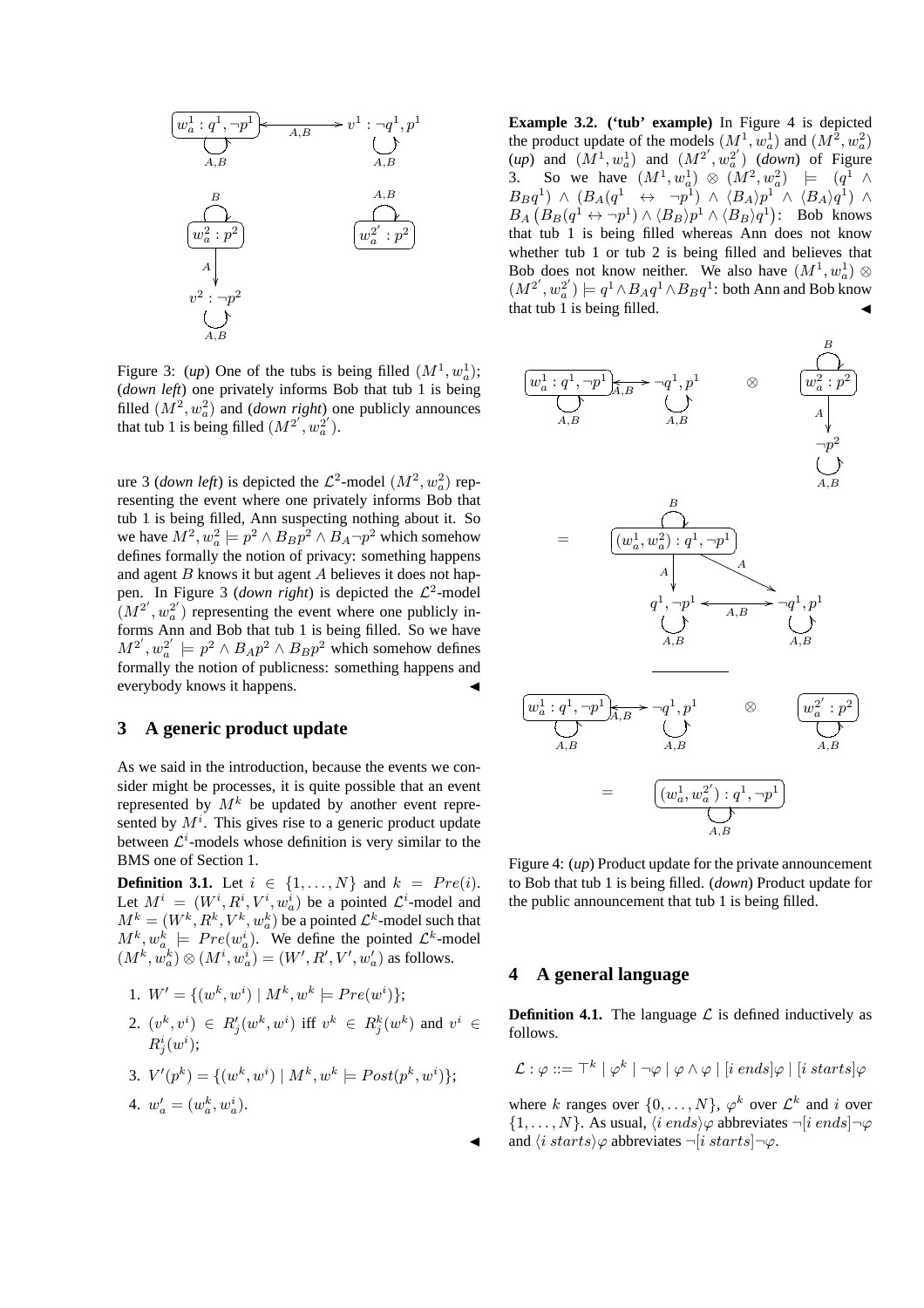

Figure 3: (*up*) One of the tubs is being filled  $(M^1, w_a^1)$ ; (*down left*) one privately informs Bob that tub 1 is being filled  $(M^2, w_a^2)$  and *(down right)* one publicly announces that tub 1 is being filled  $(M^{2'}, w_a^{2'})$ .

ure 3 (*down left*) is depicted the  $\mathcal{L}^2$ -model  $(M^2, w_a^2)$  representing the event where one privately informs Bob that tub 1 is being filled, Ann suspecting nothing about it. So we have  $M^2, w_a^2 \models p^2 \land B_B p^2 \land B_A \neg p^2$  which somehow defines formally the notion of privacy: something happens and agent  $B$  knows it but agent  $A$  believes it does not happen. In Figure 3 (*down right*) is depicted the  $\mathcal{L}^2$ -model  $(M^{2'}, w_a^{2'})$  representing the event where one publicly informs Ann and Bob that tub 1 is being filled. So we have  $M^{2'}$ ,  $w_a^{2'} \models p^2 \land B_A p^2 \land B_B p^2$  which somehow defines formally the notion of publicness: something happens and everybody knows it happens.

# **3 A generic product update**

As we said in the introduction, because the events we consider might be processes, it is quite possible that an event represented by  $M^k$  be updated by another event represented by  $M<sup>i</sup>$ . This gives rise to a generic product update between  $\mathcal{L}^i$ -models whose definition is very similar to the BMS one of Section 1.

**Definition 3.1.** Let  $i \in \{1, ..., N\}$  and  $k = Pre(i)$ . Let  $M^i = (W^i, R^i, V^i, w_a^i)$  be a pointed  $\mathcal{L}^i$ -model and  $M^k = (W^k, R^k, V^k, w_a^k)$  be a pointed  $\mathcal{L}^k$ -model such that  $M^k, w_a^k \models Pre(w_a^i)$ . We define the pointed  $\mathcal{L}^k$ -model  $(M^k, w_a^k) \otimes (M^i, w_a^i) = (W', R', V', w_a')$  as follows.

1. 
$$
W' = \{(w^k, w^i) | M^k, w^k \models Pre(w^i)\};
$$
  
\n2.  $(v^k, v^i) \in R'_j(w^k, w^i)$  iff  $v^k \in R^k_j(w^k)$  and  $v^i \in R^i_j(w^i)$ ;  
\n3.  $V'(p^k) = \{(w^k, w^i) | M^k, w^k \models Post(p^k, w^i)\};$   
\n4.  $w'_a = (w_a^k, w_a^i)$ .

**Example 3.2.** ('tub' example) In Figure 4 is depicted the product update of the models  $(M^1, w^1)$  and  $(M^2, w^2)$  $(up)$  and  $(M^1, w^1)$  and  $(M^{2'}, w^2)$  (*down*) of Figure 3. So we have  $(M^1, w^1, \omega) \otimes (M^2, w^2, \omega) \models (q^1 \wedge$  $B_Bq^1$ ) ∧  $(B_A(q^1 \leftrightarrow \neg p^1) \wedge \langle B_A \rangle p^1 \wedge \langle B_A \rangle q^1)$  ∧  $B_A \left( B_B(q^1 \leftrightarrow \neg p^1) \wedge \langle B_B \rangle p^1 \wedge \langle B_B \rangle q^1 \right)$ : Bob knows that tub 1 is being filled whereas Ann does not know whether tub 1 or tub 2 is being filled and believes that Bob does not know neither. We also have  $(M^1, w_a^1) \otimes$  $(M^{2'}, w_a^{2'}) \models q^1 \land B_A q^1 \land B_B q^1$ : both Ann and Bob know that tub 1 is being filled.



Figure 4: (*up*) Product update for the private announcement to Bob that tub 1 is being filled. (*down*) Product update for the public announcement that tub 1 is being filled.

## **4 A general language**

 $\blacktriangleleft$ 

**Definition 4.1.** The language  $\mathcal{L}$  is defined inductively as follows.

$$
\mathcal{L} : \varphi ::= \top^k \mid \varphi^k \mid \neg \varphi \mid \varphi \land \varphi \mid [i \; ends] \varphi \mid [i \; starts] \varphi
$$

where k ranges over  $\{0, \ldots, N\}$ ,  $\varphi^k$  over  $\mathcal{L}^k$  and i over  $\{1, \ldots, N\}$ . As usual,  $\langle i \text{ ends} \rangle \varphi$  abbreviates  $\neg[i \text{ ends}] \neg \varphi$ and  $\langle i \; starts \rangle \varphi$  abbreviates  $\neg[i \; starts] \neg \varphi$ .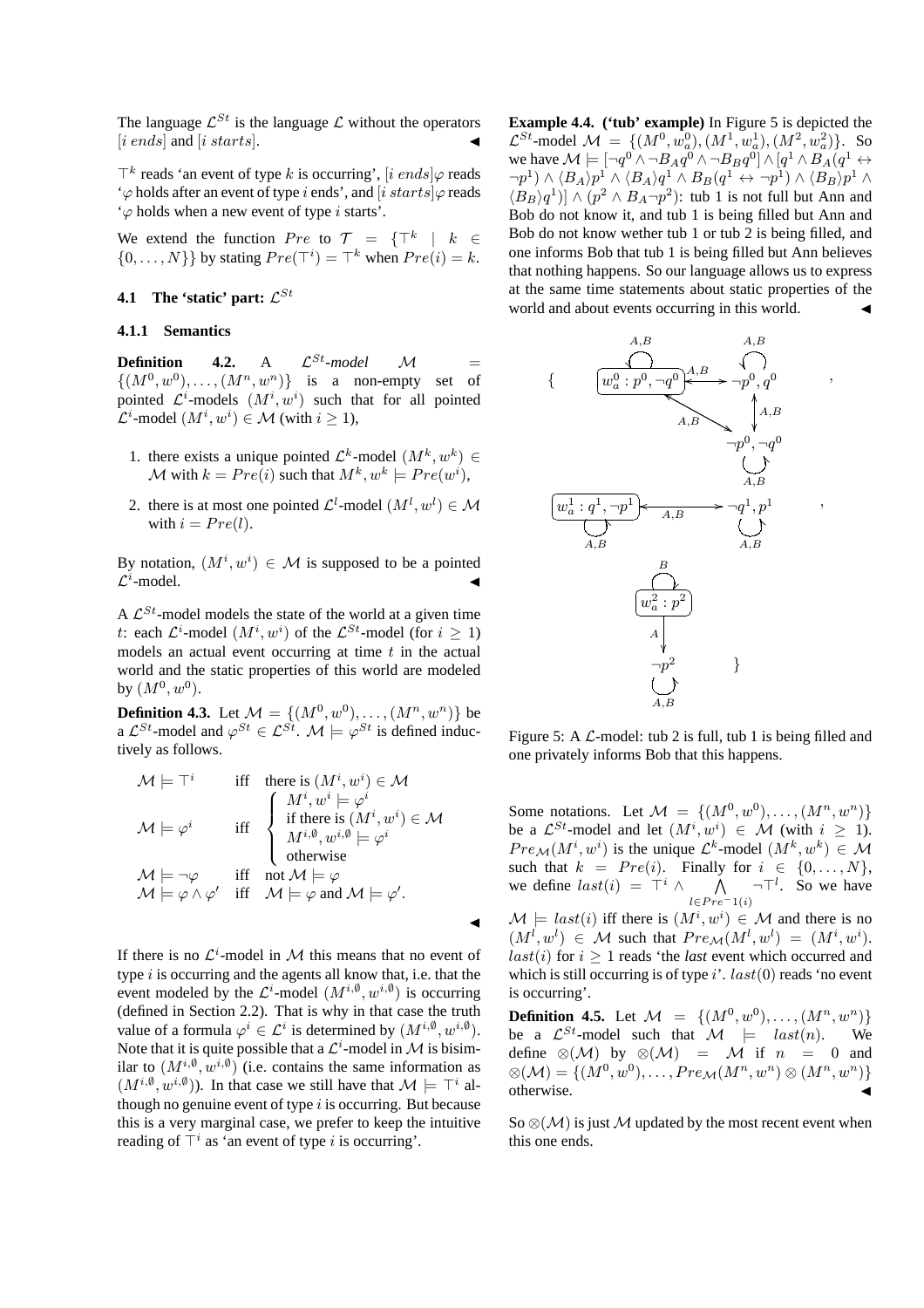The language  $\mathcal{L}^{St}$  is the language  $\mathcal L$  without the operators  $[i \; ends]$  and  $[i \; starts]$ .

 $\top^k$  reads 'an event of type k is occurring', [i ends] $\varphi$  reads ' $\varphi$  holds after an event of type i ends', and [i starts] $\varphi$  reads  $\varphi$  holds when a new event of type *i* starts'.

We extend the function  $Pre$  to  $\mathcal{T} = {\mathcal{T}^k \mid k \in \mathbb{R}^n}$  $\{0, \ldots, N\}$  by stating  $Pre(\mathsf{T}^i) = \mathsf{T}^k$  when  $Pre(i) = k$ .

# **4.1** The 'static' part:  $\mathcal{L}^{St}$

# **4.1.1 Semantics**

**Definition** 4.2. A  $\mathcal{L}^{St}\text{-model}$   $\mathcal{M} =$  $\{(M^0, w^0), \ldots, (M^n, w^n)\}\$  is a non-empty set of pointed  $\mathcal{L}^i$ -models  $(M^i, w^i)$  such that for all pointed  $\mathcal{L}^i$ -model  $(M^i, w^i) \in \mathcal{M}$  (with  $i \geq 1$ ),

- 1. there exists a unique pointed  $\mathcal{L}^k$ -model  $(M^k, w^k) \in$ M with  $k = Pre(i)$  such that  $M^k, w^k \models Pre(w^i)$ ,
- 2. there is at most one pointed  $\mathcal{L}^l$ -model  $(M^l, w^l) \in \mathcal{M}$ with  $i = Pre(l)$ .

By notation,  $(M^i, w^i) \in \mathcal{M}$  is supposed to be a pointed  $\mathcal{L}^i$ -model.  $\blacksquare$  -model.

A  $\mathcal{L}^{St}$ -model models the state of the world at a given time t: each  $\mathcal{L}^i$ -model  $(M^i, w^i)$  of the  $\mathcal{L}^{St}$ -model (for  $i \geq 1$ ) models an actual event occurring at time  $t$  in the actual world and the static properties of this world are modeled by  $(M^{0}, w^{0}).$ 

**Definition 4.3.** Let  $M = \{(M^0, w^0), \dots, (M^n, w^n)\}\)$ a  $\mathcal{L}^{St}$ -model and  $\varphi^{St} \in \mathcal{L}^{St}$ .  $\mathcal{M} \models \varphi^{St}$  is defined inductively as follows.

$$
\mathcal{M} \models \top^{i} \quad \text{iff} \quad \text{there is } (M^{i}, w^{i}) \in \mathcal{M}
$$
\n
$$
\mathcal{M} \models \varphi^{i} \quad \text{iff} \quad \begin{cases}\nM^{i}, w^{i} \models \varphi^{i} \\
\text{if there is } (M^{i}, w^{i}) \in \mathcal{M} \\
M^{i, \emptyset}, w^{i, \emptyset} \models \varphi^{i} \\
\text{otherwise} \\
M \models \varphi \land \varphi' \quad \text{iff} \quad \mathcal{M} \models \varphi \text{ and } \mathcal{M} \models \varphi'.\n\end{cases}
$$

 $\blacktriangleleft$ 

If there is no  $\mathcal{L}^i$ -model in M this means that no event of type  $i$  is occurring and the agents all know that, i.e. that the event modeled by the  $\mathcal{L}^i$ -model  $(M^{i, \emptyset}, w^{i, \emptyset})$  is occurring (defined in Section 2.2). That is why in that case the truth value of a formula  $\varphi^i \in \mathcal{L}^i$  is determined by  $(M^{i,\emptyset}, w^{i,\emptyset})$ . Note that it is quite possible that a  $\mathcal{L}^i$ -model in M is bisimilar to  $(M^{i,0}, w^{i,0})$  (i.e. contains the same information as  $(M^{i,\emptyset}, w^{i,\emptyset})$ ). In that case we still have that  $\mathcal{M} \models \top^i$  although no genuine event of type  $i$  is occurring. But because this is a very marginal case, we prefer to keep the intuitive reading of  $\top^i$  as 'an event of type i is occurring'.

**Example 4.4.** ('tub' example) In Figure 5 is depicted the  $\mathcal{L}^{St}$ -model  $\mathcal{M} = \{ (M^0, w_a^0), (M^1, w_a^1), (M^2, w_a^2) \}$ . So we have  $\mathcal{M} \models [\neg q^0 \land \neg B_A q^0 \land \neg B_B q^0] \land [q^1 \land B_A (q^1 \leftrightarrow \neg B_B q^0])]$  $\neg p^{1})\wedge\langle B_{A}\rangle p^{1}\wedge\langle B_{A}\rangle q^{1}\wedge B_{B}(q^{1}\leftrightarrow\neg p^{1})\wedge\langle B_{B}\rangle p^{1}\wedge p^{1}$  $\langle B_B \rangle q^1$ ]  $\wedge$   $(p^2 \wedge B_A \neg p^2)$ : tub 1 is not full but Ann and Bob do not know it, and tub 1 is being filled but Ann and Bob do not know wether tub 1 or tub 2 is being filled, and one informs Bob that tub 1 is being filled but Ann believes that nothing happens. So our language allows us to express at the same time statements about static properties of the world and about events occurring in this world.



Figure 5: A  $\mathcal{L}$ -model: tub 2 is full, tub 1 is being filled and one privately informs Bob that this happens.

Some notations. Let  $\mathcal{M} = \{ (M^0, w^0), \ldots, (M^n, w^n) \}$ be a  $\mathcal{L}^{St}$ -model and let  $(M^i, w^i) \in \mathcal{M}$  (with  $i \geq 1$ ).  $Pre_{\mathcal{M}}(M^i, w^i)$  is the unique  $\mathcal{L}^k$ -model  $(M^k, w^k) \in \mathcal{M}$ such that  $k = Pre(i)$ . Finally for  $i \in \{0, ..., N\}$ , we define  $last(i) = \top^i \wedge \bigwedge_{l \in Pre^{-1}(i)} \neg \top^l$ . So we have

 $\mathcal{M} \models last(i)$  iff there is  $(M^i, w^i) \in \mathcal{M}$  and there is no  $(M^l, w^l) \in \mathcal{M}$  such that  $Pre_{\mathcal{M}}(M^l, w^l) = (M^i, w^i)$ .  $last(i)$  for  $i > 1$  reads 'the *last* event which occurred and which is still occurring is of type  $i'$ .  $last(0)$  reads 'no event is occurring'.

**Definition 4.5.** Let  $M = \{(M^0, w^0), \dots, (M^n, w^n)\}$ <br>be a  $\mathcal{L}^{St}$ -model such that  $M \models last(n)$ . We be a  $\mathcal{L}^{St}$ -model such that  $\mathcal{M} \models last(n)$ . define  $\otimes(\mathcal{M})$  by  $\otimes(\mathcal{M})$  =  $\mathcal{M}$  if  $n = 0$  and  $\otimes(M) = \{ (M^0, w^0), \ldots, Pre_M(M^n, w^n) \otimes (M^n, w^n) \}$ otherwise.

So  $\mathcal{S}(\mathcal{M})$  is just M updated by the most recent event when this one ends.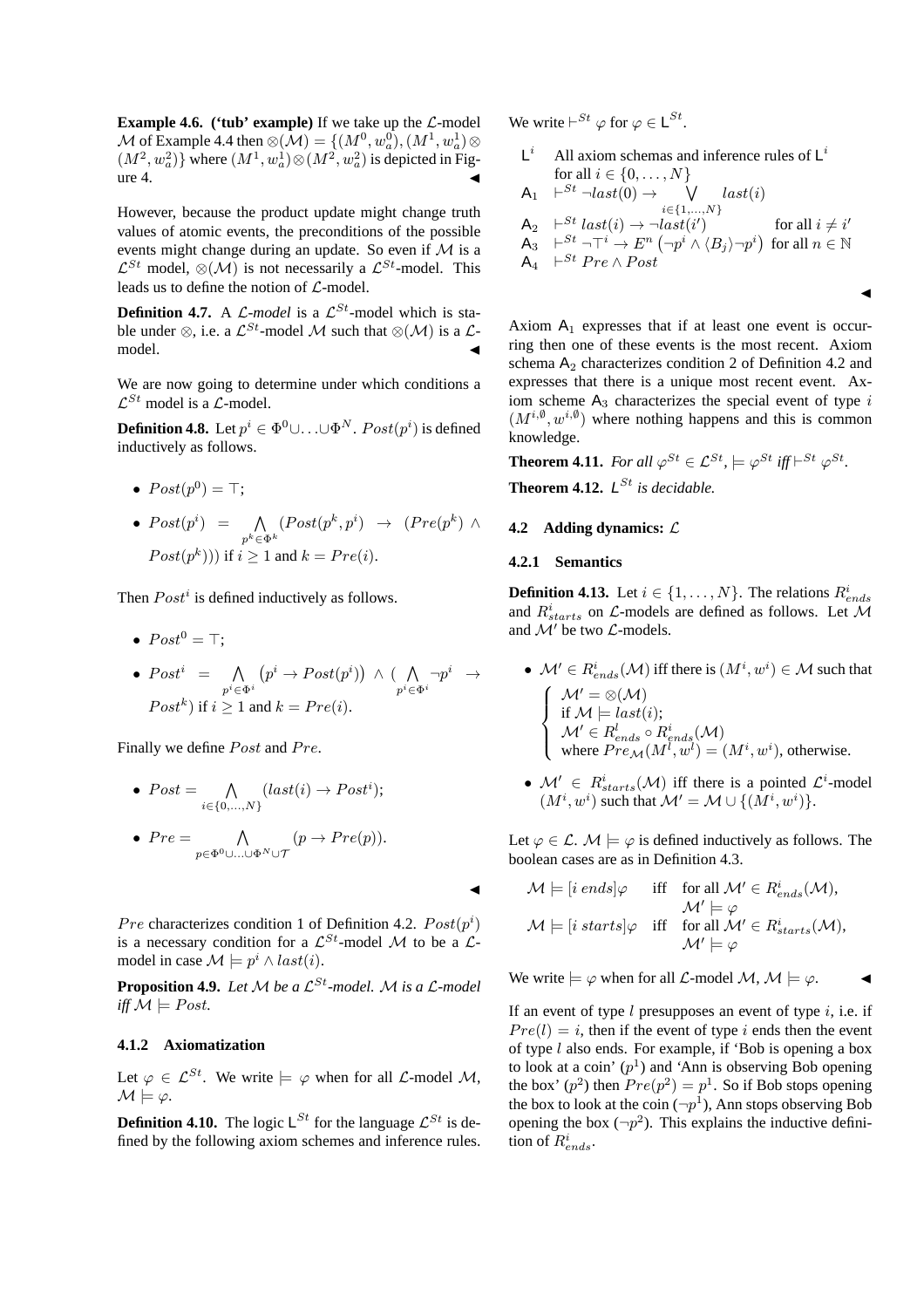**Example 4.6.** ('tub' example) If we take up the  $\mathcal{L}\text{-model}$ M of Example 4.4 then  $\mathcal{A}(M) = \{(M^0, w_a^0), (M^1, w_a^1) \otimes$  $(M^2, w_a^2)$ } where  $(M^1, w_a^1) \otimes (M^2, w_a^2)$  is depicted in Fig $ure 4.$ 

However, because the product update might change truth values of atomic events, the preconditions of the possible events might change during an update. So even if  $M$  is a  $\mathcal{L}^{St}$  model,  $\otimes(\mathcal{M})$  is not necessarily a  $\mathcal{L}^{St}$ -model. This leads us to define the notion of  $\mathcal{L}$ -model.

**Definition 4.7.** A  $\mathcal{L}\text{-model}$  is a  $\mathcal{L}^{St}\text{-model}$  which is stable under ⊗, i.e. a  $\mathcal{L}^{St}$ -model M such that ⊗(M) is a  $\mathcal{L}$ -model.  $\blacksquare$  model.

We are now going to determine under which conditions a  $\mathcal{L}^{St}$  model is a  $\mathcal{L}$ -model.

**Definition 4.8.** Let  $p^i \in \Phi^0 \cup \ldots \cup \Phi^N$ .  $Post(p^i)$  is defined inductively as follows.

- $Post(p^0) = \top;$
- $Post(p^i) = \bigwedge$  $p^k$ ∈ $\Phi^k$  $(Post(p^k, p^i) \rightarrow (Pre(p^k) \wedge$  $Post(p^k))$  if  $i > 1$  and  $k = Pre(i)$ .

Then  $Post<sup>i</sup>$  is defined inductively as follows.

- $Post^0 = T$ :
- $Post^i = \bigwedge_{p^i \in \Phi^i}$  $\big(p^i\rightarrow Post(p^i)\big) \ \land \ (\bigwedge\limits_{p^i\in \Phi^i} \neg p^i \ \rightarrow$  $Post<sup>k</sup>$ ) if  $i \ge 1$  and  $k = Pre(i)$ .

Finally we define Post and Pre.

•  $Post = \bigwedge_{i \in \{0,\ldots,N\}} (last(i) \rightarrow Post^i);$ •  $Pre =$  $\Lambda$   $(p \rightarrow Pre(p)).$ 

$$
p{\in}\Phi^0{\cup}...\cup\Phi^N{\cup}\mathcal{T}^{n-1}
$$

*Pre* characterizes condition 1 of Definition 4.2.  $Post(p<sup>i</sup>)$ is a necessary condition for a  $\mathcal{L}^{St}$ -model M to be a  $\mathcal{L}$ model in case  $\mathcal{M} \models p^i \wedge last(i)$ .

**Proposition 4.9.** Let M be a  $\mathcal{L}^{St}$ -model. M is a  $\mathcal{L}$ -model *iff*  $M \models Post$ .

#### **4.1.2 Axiomatization**

Let  $\varphi \in \mathcal{L}^{St}$ . We write  $\models \varphi$  when for all  $\mathcal{L}\text{-model } \mathcal{M}$ ,  $M \models \varphi$ .

**Definition 4.10.** The logic  $L^{St}$  for the language  $\mathcal{L}^{St}$  is defined by the following axiom schemes and inference rules. We write  $\vdash^{St} \varphi$  for  $\varphi \in L^{St}$ .

 $L^i$  All axiom schemas and inference rules of  $L^i$ for all  $i \in \{0, \ldots, N\}$  $A_1 \xrightarrow[0]{} k^{St} \neg last(0) \rightarrow \bigvee_{i \in \{1,...,N\}}$  $last(i)$  $A_2 \quad \vdash^{St} \textit{last}(i) \rightarrow \neg \textit{last}(i')$  $\int$  for all  $i \neq i'$  $\mathsf{A}_3 \quad \vdash^{St} \neg \top^i \to E^n \left( \neg p^i \wedge \langle B_j \rangle \neg p^i \right) \text{ for all } n \in \mathbb{N}$  $A_4 \vdash^{St} Pre \wedge Post$ 

d.

Axiom  $A_1$  expresses that if at least one event is occurring then one of these events is the most recent. Axiom schema  $A_2$  characterizes condition 2 of Definition 4.2 and expresses that there is a unique most recent event. Axiom scheme  $A_3$  characterizes the special event of type i  $(M^{i,\emptyset}, w^{i,\emptyset})$  where nothing happens and this is common knowledge.

**Theorem 4.11.** *For all*  $\varphi^{St} \in \mathcal{L}^{St}$ ,  $\models \varphi^{St}$  *iff*  $\vdash^{St} \varphi^{St}$ *.* **Theorem 4.12.**  $L^{St}$  *is decidable.* 

# **4.2 Adding dynamics:** L

#### **4.2.1 Semantics**

 $\blacktriangleleft$ 

**Definition 4.13.** Let  $i \in \{1, ..., N\}$ . The relations  $R_{ends}^i$ and  $R_{starts}^{i}$  on  $\mathcal{L}$ -models are defined as follows. Let M and  $\mathcal{M}'$  be two  $\mathcal{L}\text{-models}.$ 

- $\mathcal{M}' \in R_{ends}^i(\mathcal{M})$  iff there is  $(M^i, w^i) \in \mathcal{M}$  such that  $\sqrt{ }$  $\int$  $\overline{\mathcal{L}}$  $\mathcal{M}' = \otimes (\mathcal{M})$ if  $\mathcal{M} \models last(i);$  $\mathcal{M}' \in R_{ends}^l \circ R_{ends}^i(\mathcal{M})$ where  $Pre_{\mathcal{M}}(M^l, w^l) = (M^i, w^i)$ , otherwise.
- $\mathcal{M}' \in R_{starts}^i(\mathcal{M})$  iff there is a pointed  $\mathcal{L}^i$ -model  $(M^i, w^i)$  such that  $\mathcal{M}' = \mathcal{M} \cup \{(M^i, w^i)\}.$

Let  $\varphi \in \mathcal{L}$ .  $\mathcal{M} \models \varphi$  is defined inductively as follows. The boolean cases are as in Definition 4.3.

$$
\mathcal{M} \models [i \text{ ends}] \varphi \quad \text{ iff } \quad \text{for all } \mathcal{M}' \in R_{ends}^{i}(\mathcal{M}),
$$

$$
\mathcal{M}' \models \varphi
$$

$$
\mathcal{M} \models [i \text{ starts}] \varphi \quad \text{ iff } \quad \text{for all } \mathcal{M}' \in R_{starts}^{i}(\mathcal{M}),
$$

$$
\mathcal{M}' \models \varphi
$$

We write  $\models \varphi$  when for all  $\mathcal{L}$ -model  $\mathcal{M}, \mathcal{M} \models \varphi$ .

If an event of type  $l$  presupposes an event of type  $i$ , i.e. if  $Pre(l) = i$ , then if the event of type i ends then the event of type l also ends. For example, if 'Bob is opening a box to look at a coin'  $(p<sup>1</sup>)$  and 'Ann is observing Bob opening the box'  $(p^2)$  then  $Pre(p^2) = p^1$ . So if Bob stops opening the box to look at the coin  $(\neg p^1)$ , Ann stops observing Bob opening the box  $(\neg p^2)$ . This explains the inductive definition of  $R_{ends}^i$ .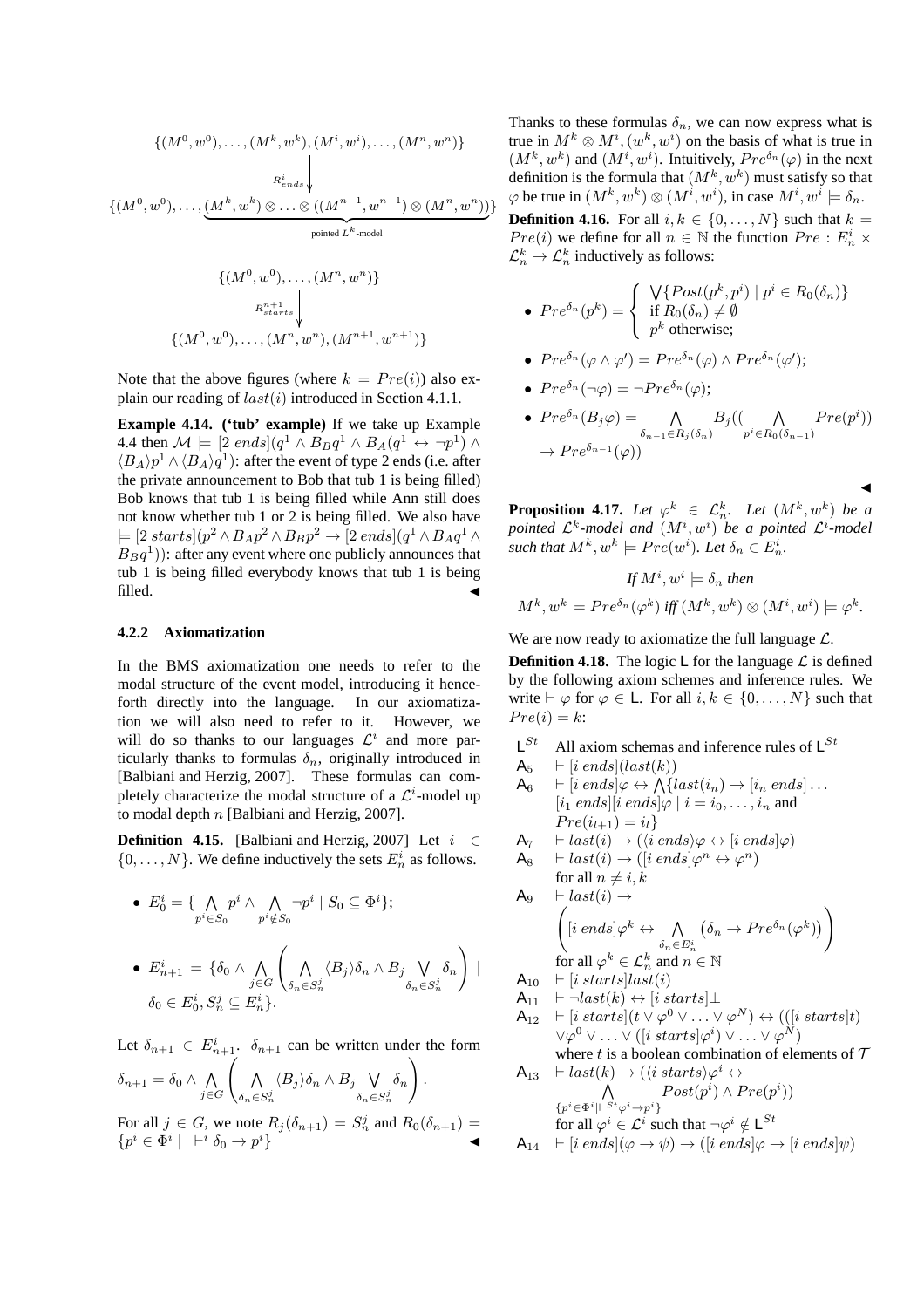$$
\{(M^{0}, w^{0}), \ldots, (M^{k}, w^{k}), (M^{i}, w^{i}), \ldots, (M^{n}, w^{n})\}
$$
\n
$$
R_{ends}^{i}
$$
\n
$$
\{(M^{0}, w^{0}), \ldots, \underbrace{(M^{k}, w^{k}) \otimes \ldots \otimes ((M^{n-1}, w^{n-1}) \otimes (M^{n}, w^{n}))}_{\text{pointed } L^{k}\text{-model}}
$$
\n
$$
\{(M^{0}, w^{0}), \ldots, (M^{n}, w^{n})\}
$$
\n
$$
R_{starts}^{n+1}
$$
\n
$$
\{(M^{0}, w^{0}), \ldots, (M^{n}, w^{n}), (M^{n+1}, w^{n+1})\}
$$

Note that the above figures (where  $k = Pre(i)$ ) also explain our reading of  $last(i)$  introduced in Section 4.1.1.

**Example 4.14. ('tub' example)** If we take up Example 4.4 then  $\mathcal{M} \models [2 \text{ ends}](q^1 \wedge B_B q^1 \wedge B_A(q^1 \leftrightarrow \neg p^1) \wedge$  $\langle B_A \rangle p^1 \wedge \langle B_A \rangle q^1$ ): after the event of type 2 ends (i.e. after the private announcement to Bob that tub 1 is being filled) Bob knows that tub 1 is being filled while Ann still does not know whether tub 1 or 2 is being filled. We also have  $= [2 \, starts] (p^2 \wedge B_A p^2 \wedge B_B p^2 \rightarrow [2 \, ends] (q^1 \wedge B_A q^1 \wedge$  $B_Bq^1$ )): after any event where one publicly announces that tub 1 is being filled everybody knows that tub 1 is being  $\blacksquare$  filled.

#### **4.2.2 Axiomatization**

In the BMS axiomatization one needs to refer to the modal structure of the event model, introducing it henceforth directly into the language. In our axiomatization we will also need to refer to it. However, we will do so thanks to our languages  $\mathcal{L}^i$  and more particularly thanks to formulas  $\delta_n$ , originally introduced in [Balbiani and Herzig, 2007]. These formulas can completely characterize the modal structure of a  $\mathcal{L}^i$ -model up to modal depth n [Balbiani and Herzig, 2007].

**Definition 4.15.** [Balbiani and Herzig, 2007] Let  $i \in \mathbb{R}$  $\{0, \ldots, N\}$ . We define inductively the sets  $E_n^i$  as follows.

\n- \n
$$
E_0^i = \{ \bigwedge_{p^i \in S_0} p^i \land \bigwedge_{p^i \notin S_0} \neg p^i \mid S_0 \subseteq \Phi^i \};
$$
\n
\n- \n
$$
E_{n+1}^i = \{ \delta_0 \land \bigwedge_{j \in G} \left( \bigwedge_{\delta_n \in S_n^j} \langle B_j \rangle \delta_n \land B_j \bigvee_{\delta_n \in S_n^j} \delta_n \right) \mid
$$
\n
\n- \n
$$
\delta_0 \in E_0^i, S_n^j \subseteq E_n^i \}.
$$
\n
\n

Let  $\delta_{n+1} \in E_{n+1}^i$ ,  $\delta_{n+1}$  can be written under the form  $\delta_{n+1} = \delta_0 \wedge \bigwedge_{j \in G}$  $\begin{pmatrix} 1 & 1 \\ 1 & 1 \end{pmatrix}$  $\bigwedge_{\delta_n \in S_n^j} \langle B_j \rangle \delta_n \wedge B_j \bigvee_{\delta_n \in S_n^j}$  $\delta_n \in S_n^j$  $\delta_n$ ! .

For all  $j \in G$ , we note  $R_j(\delta_{n+1}) = S_n^j$  and  $R_0(\delta_{n+1}) =$  ${p^i \in \tilde{\Phi}^i \mid \ \vdash^i \delta_0 \to p^i}$  $\}$  Thanks to these formulas  $\delta_n$ , we can now express what is true in  $M^k \otimes M^i$ ,  $(w^k, w^i)$  on the basis of what is true in  $(M^k, w^k)$  and  $(M^i, w^i)$ . Intuitively,  $Pre^{\delta_n}(\varphi)$  in the next definition is the formula that  $(M^k, w^k)$  must satisfy so that  $\varphi$  be true in  $(M^k, w^k) \otimes (M^i, w^i)$ , in case  $M^i, w^i \models \delta_n$ .

**Definition 4.16.** For all  $i, k \in \{0, \ldots, N\}$  such that  $k =$  $Pre(i)$  we define for all  $n \in \mathbb{N}$  the function  $Pre : E_n^i \times$  $\mathcal{L}_n^k \to \mathcal{L}_n^k$  inductively as follows:

• 
$$
Pre^{\delta_n}(p^k) = \begin{cases} \sqrt{\{Post(p^k, p^i) \mid p^i \in R_0(\delta_n)\}} \\ \text{if } R_0(\delta_n) \neq \emptyset \\ p^k \text{ otherwise;} \end{cases}
$$

• 
$$
Pre^{\delta_n}(\varphi \wedge \varphi') = Pre^{\delta_n}(\varphi) \wedge Pre^{\delta_n}(\varphi');
$$

• 
$$
Pre^{\delta_n}(\neg \varphi) = \neg Pre^{\delta_n}(\varphi);
$$

•  $Pre^{\delta_n}(B_j \varphi) = \bigwedge_{\delta_{n-1} \in R_j(\delta_n)}$  $B_j((\quad \Lambda$  $p^i \in R_0(\delta_{n-1})$  $Pre(p^i))$  $\rightarrow Pre^{\delta_{n-1}}(\varphi))$ 

 $\blacktriangleleft$ **Proposition 4.17.** Let  $\varphi^k \in \mathcal{L}_n^k$ . Let  $(M^k, w^k)$  be a *pointed*  $\mathcal{L}^k$ -model and  $(M^i, w^i)$  be a pointed  $\mathcal{L}^i$ -model such that  $M^k, w^k \models Pre(w^i)$ . Let  $\delta_n \in E_n^i$ .

If 
$$
M^i, w^i \models \delta_n
$$
 then  
\n $M^k, w^k \models Pre^{\delta_n}(\varphi^k)$  iff  $(M^k, w^k) \otimes (M^i, w^i) \models \varphi^k$ .

We are now ready to axiomatize the full language  $\mathcal{L}$ .

**Definition 4.18.** The logic  $\sf{L}$  for the language  $\cal{L}$  is defined by the following axiom schemes and inference rules. We write  $\vdash \varphi$  for  $\varphi \in \mathsf{L}$ . For all  $i, k \in \{0, \ldots, N\}$  such that  $Pre(i) = k$ :

L<sup>St</sup> All axiom schemas and inference rules of L<sup>St</sup>  
\nA<sub>5</sub> 
$$
\vdash
$$
 [*i ends*](last(*k*))  
\nA<sub>6</sub>  $\vdash$  [*i ends*](*ast*(*k*))  
\nA<sub>6</sub>  $\vdash$  [*i ends*](*ext*(*k*))  $\rightarrow$  [*i<sub>n</sub> ends*]...  
\n[*i<sub>1</sub> ends*][*i ends*](*φ* | *i = i<sub>0</sub>,...,i<sub>n</sub>* and  
\nPre(*i<sub>l+1</sub>*) = *i<sub>l</sub>*  
\nA<sub>7</sub>  $\vdash$  last(*i*)  $\rightarrow$  ((*i ends*) $\varphi \leftrightarrow$  [*i ends*] $\varphi$ )  
\nA<sub>8</sub>  $\vdash$  last(*i*)  $\rightarrow$  ((*i ends*) $\varphi^n \leftrightarrow \varphi^n$ )  
\nfor all  $n \neq i, k$   
\nA<sub>9</sub>  $\vdash$  last(*i*)  $\rightarrow$   
\n(*i ends*] $\varphi^k \leftrightarrow \wedge$  ( $\delta_n \rightarrow$  Pre $\delta_n(\varphi^k)$ ))  
\nfor all  $\varphi^k \in \mathcal{L}_n^k$  and  $n \in \mathbb{N}$   
\nA<sub>10</sub>  $\vdash$  [*i starts*]*last(*i*)  
\nA<sub>11</sub>  $\vdash$  -last(*k*)  $\leftrightarrow$  [*i starts*] $\bot$   
\nA<sub>12</sub>  $\vdash$  [*i starts*] $(t \lor \varphi^0 \lor ... \lor \varphi^N) \leftrightarrow (([i starts]t)$   
\n $\lor \varphi^0 \lor ... \lor ([i starts] \varphi^i) \lor ... \lor \varphi^N)$   
\nwhere *t* is a boolean combination of elements of  $\top$   
\nA<sub>13</sub>  $\vdash$  last(*k*)*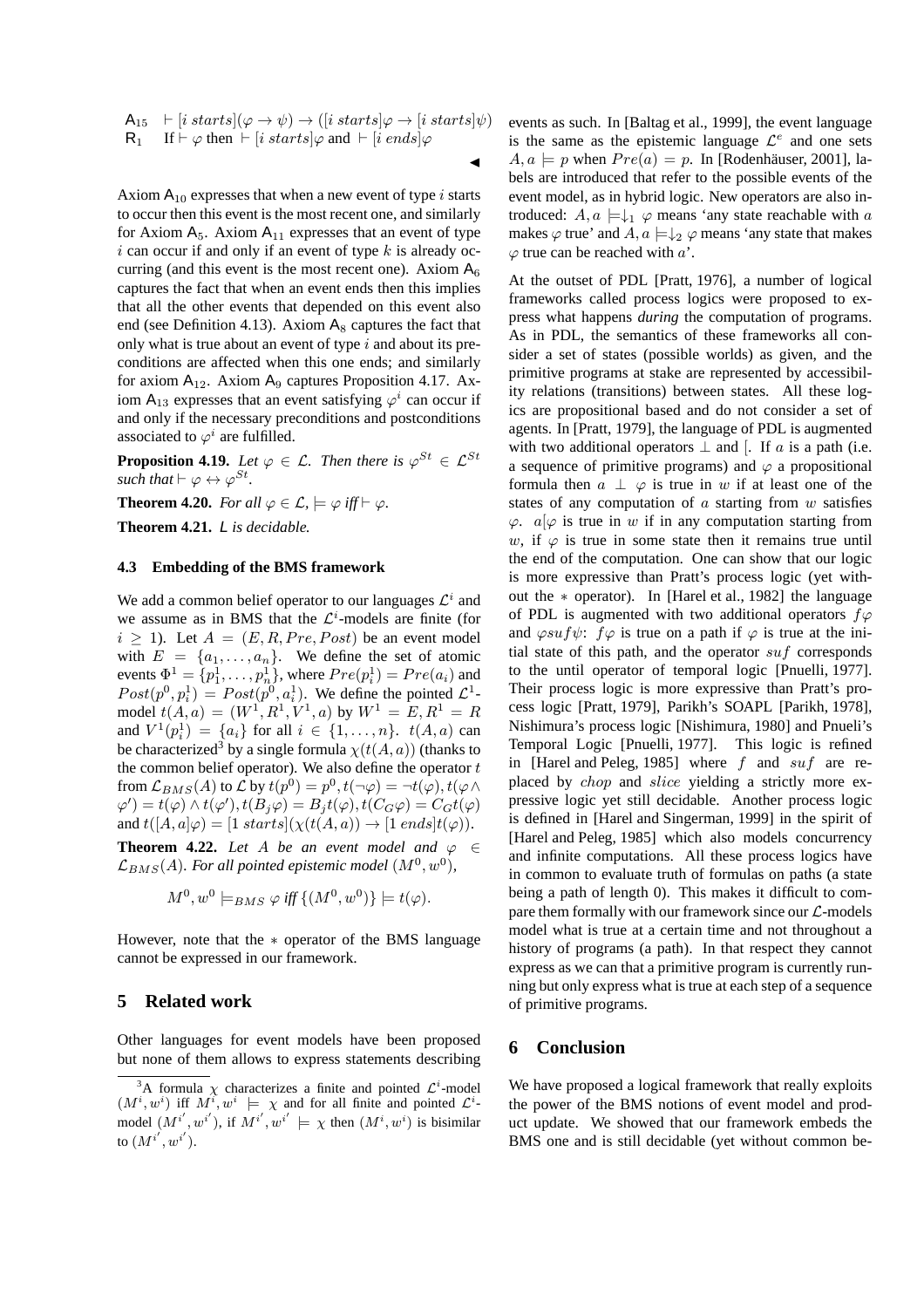$$
\mathsf{A}_{15} \quad \vdash [i \; starts] (\varphi \to \psi) \to ([i \; starts] \varphi \to [i \; starts] \psi)
$$
\n
$$
\mathsf{R}_{1} \quad \text{If} \vdash \varphi \text{ then } \vdash [i \; starts] \varphi \text{ and } \vdash [i \; ends] \varphi
$$

 $\blacktriangleleft$ 

Axiom  $A_{10}$  expresses that when a new event of type i starts to occur then this event is the most recent one, and similarly for Axiom  $A_5$ . Axiom  $A_{11}$  expresses that an event of type  $i$  can occur if and only if an event of type  $k$  is already occurring (and this event is the most recent one). Axiom  $A<sub>6</sub>$ captures the fact that when an event ends then this implies that all the other events that depended on this event also end (see Definition 4.13). Axiom  $A_8$  captures the fact that only what is true about an event of type  $i$  and about its preconditions are affected when this one ends; and similarly for axiom  $A_{12}$ . Axiom  $A_9$  captures Proposition 4.17. Axiom A<sub>13</sub> expresses that an event satisfying  $\varphi^i$  can occur if and only if the necessary preconditions and postconditions associated to  $\varphi^i$  are fulfilled.

**Proposition 4.19.** *Let*  $\varphi \in \mathcal{L}$ *. Then there is*  $\varphi^{St} \in \mathcal{L}^{St}$ *such that*  $\vdash \varphi \leftrightarrow \varphi^{St}$ *.* 

**Theorem 4.20.** *For all*  $\varphi \in \mathcal{L}$ ,  $\models \varphi$  *iff*  $\models \varphi$ *.* 

**Theorem 4.21.** L *is decidable.*

#### **4.3 Embedding of the BMS framework**

We add a common belief operator to our languages  $\mathcal{L}^i$  and we assume as in BMS that the  $\mathcal{L}^i$ -models are finite (for  $i \geq 1$ ). Let  $A = (E, R, Pre, Post)$  be an event model with  $E = \{a_1, \ldots, a_n\}$ . We define the set of atomic events  $\Phi^1 = \{p_1^1, \ldots, p_n^1\}$ , where  $Pre(p_i^1) = Pre(a_i)$  and  $Post(p^0, p_i^1) = Post(p^0, a_i^1)$ . We define the pointed  $\mathcal{L}^1$ model  $t(A, a) = (W^1, R^1, V^1, a)$  by  $W^1 = E, R^1 = R$ and  $V^1(p_i^1) = \{a_i\}$  for all  $i \in \{1, ..., n\}$ .  $t(A, a)$  can be characterized<sup>3</sup> by a single formula  $\chi(t(A, a))$  (thanks to the common belief operator). We also define the operator  $t$ from  $\mathcal{L}_{BMS}(A)$  to  $\mathcal L$  by  $t(p^0) = p^0, t(\neg \varphi) = \neg t(\varphi), t(\varphi \wedge$  $\varphi')=t(\varphi)\wedge t(\varphi'), t(B_j\varphi)=B_jt(\varphi), t(C_G\varphi)=C_Gt(\varphi)$ and  $t([A, a]\varphi) = [1 \; starts](\chi(t(A, a)) \rightarrow [1 \; ends]t(\varphi)).$ 

**Theorem 4.22.** *Let* A *be an event model and*  $\varphi \in$  $\mathcal{L}_{BMS}(A)$ *. For all pointed epistemic model*  $(M^0, w^0)$ *,* 

$$
M^0, w^0 \models_{BMS} \varphi \text{ iff } \{(M^0, w^0)\} \models t(\varphi).
$$

However, note that the ∗ operator of the BMS language cannot be expressed in our framework.

# **5 Related work**

Other languages for event models have been proposed but none of them allows to express statements describing events as such. In [Baltag et al., 1999], the event language is the same as the epistemic language  $\mathcal{L}^e$  and one sets  $A, a \models p$  when  $Pre(a) = p$ . In [Rodenhäuser, 2001], labels are introduced that refer to the possible events of the event model, as in hybrid logic. New operators are also introduced:  $A, a \models \downarrow_1 \varphi$  means 'any state reachable with a makes  $\varphi$  true' and  $A, a \models \downarrow_2 \varphi$  means 'any state that makes  $\varphi$  true can be reached with  $a'$ .

At the outset of PDL [Pratt, 1976], a number of logical frameworks called process logics were proposed to express what happens *during* the computation of programs. As in PDL, the semantics of these frameworks all consider a set of states (possible worlds) as given, and the primitive programs at stake are represented by accessibility relations (transitions) between states. All these logics are propositional based and do not consider a set of agents. In [Pratt, 1979], the language of PDL is augmented with two additional operators  $\perp$  and [. If a is a path (i.e. a sequence of primitive programs) and  $\varphi$  a propositional formula then  $a \perp \varphi$  is true in w if at least one of the states of any computation of  $a$  starting from  $w$  satisfies  $\varphi$ .  $a[\varphi]$  is true in w if in any computation starting from w, if  $\varphi$  is true in some state then it remains true until the end of the computation. One can show that our logic is more expressive than Pratt's process logic (yet without the ∗ operator). In [Harel et al., 1982] the language of PDL is augmented with two additional operators  $f\varphi$ and  $\varphi suf\psi$ :  $f\varphi$  is true on a path if  $\varphi$  is true at the initial state of this path, and the operator  $suf$  corresponds to the until operator of temporal logic [Pnuelli, 1977]. Their process logic is more expressive than Pratt's process logic [Pratt, 1979], Parikh's SOAPL [Parikh, 1978], Nishimura's process logic [Nishimura, 1980] and Pnueli's Temporal Logic [Pnuelli, 1977]. This logic is refined in [Harel and Peleg, 1985] where f and  $\mathfrak{su}$  f are replaced by chop and slice yielding a strictly more expressive logic yet still decidable. Another process logic is defined in [Harel and Singerman, 1999] in the spirit of [Harel and Peleg, 1985] which also models concurrency and infinite computations. All these process logics have in common to evaluate truth of formulas on paths (a state being a path of length 0). This makes it difficult to compare them formally with our framework since our  $\mathcal{L}$ -models model what is true at a certain time and not throughout a history of programs (a path). In that respect they cannot express as we can that a primitive program is currently running but only express what is true at each step of a sequence of primitive programs.

# **6 Conclusion**

We have proposed a logical framework that really exploits the power of the BMS notions of event model and product update. We showed that our framework embeds the BMS one and is still decidable (yet without common be-

<sup>&</sup>lt;sup>3</sup>A formula  $\chi$  characterizes a finite and pointed  $\mathcal{L}^i$ -model  $(M^i, w^i)$  iff  $M^i, w^i \models \chi$  and for all finite and pointed  $\mathcal{L}^i$ model  $(M^{i'}, w^{i'})$ , if  $M^{i'}, w^{i'} \models \chi$  then  $(M^i, w^i)$  is bisimilar to  $(M^{i^\prime}, w^{i^\prime}).$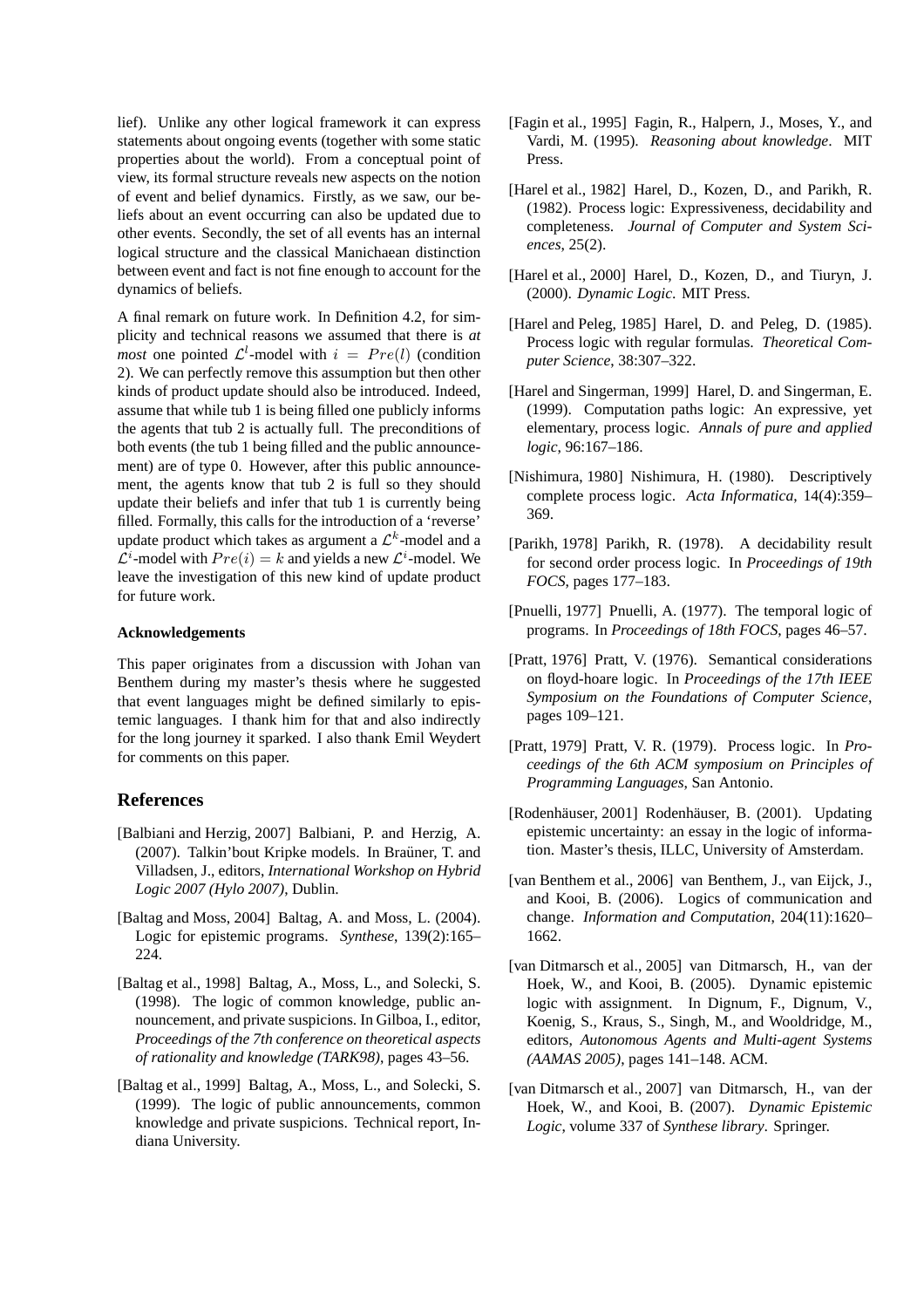lief). Unlike any other logical framework it can express statements about ongoing events (together with some static properties about the world). From a conceptual point of view, its formal structure reveals new aspects on the notion of event and belief dynamics. Firstly, as we saw, our beliefs about an event occurring can also be updated due to other events. Secondly, the set of all events has an internal logical structure and the classical Manichaean distinction between event and fact is not fine enough to account for the dynamics of beliefs.

A final remark on future work. In Definition 4.2, for simplicity and technical reasons we assumed that there is *at most* one pointed  $\mathcal{L}^l$ -model with  $i = Pre(l)$  (condition 2). We can perfectly remove this assumption but then other kinds of product update should also be introduced. Indeed, assume that while tub 1 is being filled one publicly informs the agents that tub 2 is actually full. The preconditions of both events (the tub 1 being filled and the public announcement) are of type 0. However, after this public announcement, the agents know that tub 2 is full so they should update their beliefs and infer that tub 1 is currently being filled. Formally, this calls for the introduction of a 'reverse' update product which takes as argument a  $\mathcal{L}^k$ -model and a  $\mathcal{L}^i$ -model with  $Pre(i) = k$  and yields a new  $\mathcal{L}^i$ -model. We leave the investigation of this new kind of update product for future work.

#### **Acknowledgements**

This paper originates from a discussion with Johan van Benthem during my master's thesis where he suggested that event languages might be defined similarly to epistemic languages. I thank him for that and also indirectly for the long journey it sparked. I also thank Emil Weydert for comments on this paper.

## **References**

- [Balbiani and Herzig, 2007] Balbiani, P. and Herzig, A. (2007). Talkin'bout Kripke models. In Braüner, T. and Villadsen, J., editors, *International Workshop on Hybrid Logic 2007 (Hylo 2007)*, Dublin.
- [Baltag and Moss, 2004] Baltag, A. and Moss, L. (2004). Logic for epistemic programs. *Synthese*, 139(2):165– 224.
- [Baltag et al., 1998] Baltag, A., Moss, L., and Solecki, S. (1998). The logic of common knowledge, public announcement, and private suspicions. In Gilboa, I., editor, *Proceedings of the 7th conference on theoretical aspects of rationality and knowledge (TARK98)*, pages 43–56.
- [Baltag et al., 1999] Baltag, A., Moss, L., and Solecki, S. (1999). The logic of public announcements, common knowledge and private suspicions. Technical report, Indiana University.
- [Fagin et al., 1995] Fagin, R., Halpern, J., Moses, Y., and Vardi, M. (1995). *Reasoning about knowledge*. MIT Press.
- [Harel et al., 1982] Harel, D., Kozen, D., and Parikh, R. (1982). Process logic: Expressiveness, decidability and completeness. *Journal of Computer and System Sciences*, 25(2).
- [Harel et al., 2000] Harel, D., Kozen, D., and Tiuryn, J. (2000). *Dynamic Logic*. MIT Press.
- [Harel and Peleg, 1985] Harel, D. and Peleg, D. (1985). Process logic with regular formulas. *Theoretical Computer Science*, 38:307–322.
- [Harel and Singerman, 1999] Harel, D. and Singerman, E. (1999). Computation paths logic: An expressive, yet elementary, process logic. *Annals of pure and applied logic*, 96:167–186.
- [Nishimura, 1980] Nishimura, H. (1980). Descriptively complete process logic. *Acta Informatica*, 14(4):359– 369.
- [Parikh, 1978] Parikh, R. (1978). A decidability result for second order process logic. In *Proceedings of 19th FOCS*, pages 177–183.
- [Pnuelli, 1977] Pnuelli, A. (1977). The temporal logic of programs. In *Proceedings of 18th FOCS*, pages 46–57.
- [Pratt, 1976] Pratt, V. (1976). Semantical considerations on floyd-hoare logic. In *Proceedings of the 17th IEEE Symposium on the Foundations of Computer Science*, pages 109–121.
- [Pratt, 1979] Pratt, V. R. (1979). Process logic. In *Proceedings of the 6th ACM symposium on Principles of Programming Languages*, San Antonio.
- [Rodenhäuser, 2001] Rodenhäuser, B. (2001). Updating epistemic uncertainty: an essay in the logic of information. Master's thesis, ILLC, University of Amsterdam.
- [van Benthem et al., 2006] van Benthem, J., van Eijck, J., and Kooi, B. (2006). Logics of communication and change. *Information and Computation*, 204(11):1620– 1662.
- [van Ditmarsch et al., 2005] van Ditmarsch, H., van der Hoek, W., and Kooi, B. (2005). Dynamic epistemic logic with assignment. In Dignum, F., Dignum, V., Koenig, S., Kraus, S., Singh, M., and Wooldridge, M., editors, *Autonomous Agents and Multi-agent Systems (AAMAS 2005)*, pages 141–148. ACM.
- [van Ditmarsch et al., 2007] van Ditmarsch, H., van der Hoek, W., and Kooi, B. (2007). *Dynamic Epistemic Logic*, volume 337 of *Synthese library*. Springer.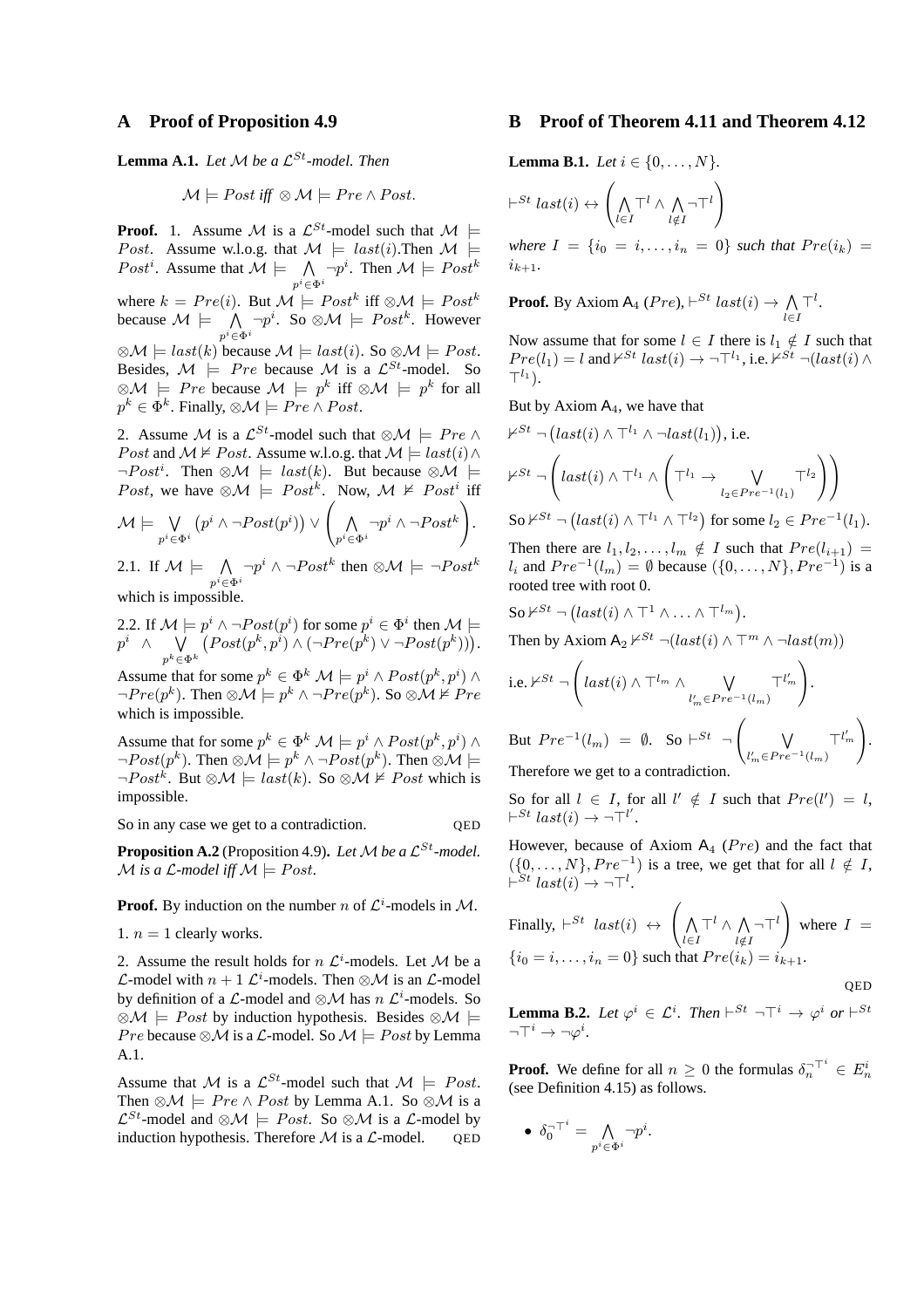## **A Proof of Proposition 4.9**

**Lemma A.1.** *Let*  $M$  *be a*  $\mathcal{L}^{St}$ *-model. Then* 

$$
\mathcal{M} \models Post \text{ iff } \otimes \mathcal{M} \models Pre \land Post.
$$

**Proof.** 1. Assume M is a  $\mathcal{L}^{St}$ -model such that  $M \models$ *Post.* Assume w.l.o.g. that  $\mathcal{M} \models last(i)$ . Then  $\mathcal{M} \models$ *Post<sup>i</sup>*. Assume that  $\mathcal{M} \models \bigwedge_{p^i \in \Phi^i} \neg p^i$ . Then  $\mathcal{M} \models Post^k$ where  $k = Pre(i)$ . But  $\mathcal{M} \models Post^k$  iff  $\otimes \mathcal{M} \models Post^k$ because  $\mathcal{M} \models \bigwedge_{p^i \in \Phi^i} \neg p^i$ . So  $\otimes \mathcal{M} \models \textit{Post}^k$ . However  $\otimes \mathcal{M} \models \text{last}(k)$  because  $\mathcal{M} \models \text{last}(i)$ . So  $\otimes \mathcal{M} \models \text{Post}.$ Besides,  $M \models Pre$  because M is a  $\mathcal{L}^{St}$ -model. So ⊗ $\mathcal{M}$   $\models$  Pre because  $\mathcal{M}$   $\models$  p<sup>k</sup> iff ⊗ $\mathcal{M}$   $\models$  p<sup>k</sup> for all  $p^k \in \Phi^k$ . Finally,  $\otimes \mathcal{M} \models Pre \wedge Post$ .

2. Assume M is a  $\mathcal{L}^{St}$ -model such that  $\otimes \mathcal{M} \models Pre \wedge$ *Post* and  $\mathcal{M} \not\models Post$ . Assume w.l.o.g. that  $\mathcal{M} \models last(i) \land$  $\neg Post^i$ . Then  $\otimes \mathcal{M} \models last(k)$ . But because  $\otimes \mathcal{M} \models$ *Post*, we have  $\otimes \mathcal{M} \models Post^k$ . Now,  $\mathcal{M} \not\models Post^i$  iff

$$
\mathcal{M} \models \bigvee_{p^i \in \Phi^i} \left( p^i \wedge \neg Post(p^i) \right) \vee \left( \bigwedge_{p^i \in \Phi^i} \neg p^i \wedge \neg Post^k \right).
$$

2.1. If  $\mathcal{M} \models \bigwedge_{p^i \in \Phi^i} \neg Post^k$  then  $\otimes \mathcal{M} \models \neg Post^k$ which is impossible.

2.2. If  $\mathcal{M} \models p^i \land \neg Post(p^i)$  for some  $p^i \in \Phi^i$  then  $\mathcal{M} \models$  $p^i ~\wedge~ \bigvee\limits_{p^k\in\Phi^k}$  $(Post(p^k, p^i) \wedge (\neg Pre(p^k) \vee \neg Post(p^k))).$ 

Assume that for some  $p^k \in \Phi^k \mathcal{M} \models p^i \land Post(p^k, p^i) \land$  $\neg Pre(p^k)$ . Then ⊗ $\mathcal{M} \models p^k \land \neg Pre(p^k)$ . So ⊗ $\mathcal{M} \not\models Pre$ which is impossible.

Assume that for some  $p^k \in \Phi^k \mathcal{M} \models p^i \land Post(p^k, p^i) \land$  $\neg Post(p^k)$ . Then ⊗ $\mathcal{M} \models p^k \land \neg Post(p^k)$ . Then ⊗ $\mathcal{M} \models$  $\neg Post^{k}$ . But  $\otimes \mathcal{M} \models last(k)$ . So  $\otimes \mathcal{M} \not\models Post$  which is impossible.

So in any case we get to a contradiction.  $QED$ 

**Proposition A.2** (Proposition 4.9). Let M be a  $\mathcal{L}^{St}$ -model.  $M$  *is a L-model iff*  $M \models Post$ .

**Proof.** By induction on the number *n* of  $\mathcal{L}^i$ -models in *M*.

1.  $n = 1$  clearly works.

2. Assume the result holds for  $n \mathcal{L}^i$ -models. Let M be a *L*-model with  $n + 1$   $\mathcal{L}^i$ -models. Then ⊗*M* is an *L*-model by definition of a  $\mathcal{L}$ -model and ⊗ $\mathcal{M}$  has  $n \mathcal{L}^i$ -models. So  $\otimes \mathcal{M}$   $\models$  *Post* by induction hypothesis. Besides  $\otimes \mathcal{M}$   $\models$ Pre because  $\otimes M$  is a L-model. So  $M \models Post$  by Lemma A.1.

Assume that M is a  $\mathcal{L}^{St}$ -model such that  $\mathcal{M} \models Post$ . Then  $\otimes \mathcal{M} \models Pre \wedge Post$  by Lemma A.1. So  $\otimes \mathcal{M}$  is a  $\mathcal{L}^{St}$ -model and ⊗ $\mathcal{M} \models Post$ . So ⊗ $\mathcal{M}$  is a  $\mathcal{L}$ -model by induction by pothesis. Therefore  $\mathcal{M}$  is a  $\mathcal{L}$ -model of D induction hypothesis. Therefore  $\mathcal M$  is a  $\mathcal L$ -model.

# **B Proof of Theorem 4.11 and Theorem 4.12**

**Lemma B.1.** *Let*  $i \in \{0, ..., N\}$ *.* 

$$
\vdash^{St} last(i) \leftrightarrow \left(\bigwedge_{l \in I} \top^l \land \bigwedge_{l \notin I} \neg \top^l\right)
$$

*where*  $I = \{i_0 = i, ..., i_n = 0\}$  *such that*  $Pre(i_k) =$  $i_{k+1}$ .

**Proof.** By Axiom  $A_4$  (Pre),  $\vdash^{St}$  last(i)  $\rightarrow \bigwedge_{l \in I} \top^l$ .

Now assume that for some  $l \in I$  there is  $l_1 \notin I$  such that  $Pre(l_1) = l$  and  $\nvDash^{St}$  last(i)  $\rightarrow \neg \top^{l_1}$ , i.e.  $\nvdash^{St} \neg (last(i) \land$  $\mathsf{T}^{l_1}$ ).

But by Axiom  $A_4$ , we have that

$$
\nvdash^{St} \neg \left( last(i) \land \top^{l_1} \land \neg last(l_1) \right), i.e.
$$
\n
$$
\nvdash^{St} \neg \left( last(i) \land \top^{l_1} \land \left( \top^{l_1} \rightarrow \bigvee_{l_2 \in Pre^{-1}(l_1)} \top^{l_2} \right) \right)
$$
\n
$$
\text{So } \nvdash^{St} \neg \left( last(i) \land \top^{l_1} \land \top^{l_2} \right) \text{ for some } l_2 \in Pre^{-1}(l_1).
$$

Then there are  $l_1, l_2, \ldots, l_m \notin I$  such that  $Pre(l_{i+1}) =$  $l_i$  and  $Pre^{-1}(l_m) = \emptyset$  because  $({0, \ldots, N}, Pre^{-1})$  is a rooted tree with root 0.

So 
$$
\nvdash^{St} \neg (last(i) \land \top^1 \land \ldots \land \top^{l_m})
$$
.  
\nThen by Axiom  $A_2 \nvdash^{St} \neg (last(i) \land \top^m \land \neg last(m))$   
\ni.e.  $\nvdash^{St} \neg \left( last(i) \land \top^{l_m} \land \bigvee_{l'_m \in Pre^{-1}(l_m)} \top^{l'_m} \right)$ .  
\nBut  $Pre^{-1}(l_m) = \emptyset$ . So  $\vdash^{St} \neg \left( \bigvee_{l'_m \in Pre^{-1}(l_m)} \top^{l'_m} \right)$ .  
\nTherefore we get to a contradiction.

So for all  $l \in I$ , for all  $l' \notin I$  such that  $Pre(l') = l$ ,  $\vdash^{St} last(i) \rightarrow \neg \top^{l'}$ .

However, because of Axiom  $A_4$  (Pre) and the fact that  $({0, \ldots, N}, Pre^{-1})$  is a tree, we get that for all  $l \notin I$ ,  $\vdash^{St} last(i) \rightarrow \neg \top^l$ .

Finally, 
$$
\vdash^{St}
$$
 last(i)  $\leftrightarrow$   $\left( \bigwedge_{l \in I} \top^l \land \bigwedge_{l \notin I} \top^l \right)$  where  $I =$   
\n $\{i_0 = i, \ldots, i_n = 0\}$  such that  $Pre(i_k) = i_{k+1}$ .

QED

**Lemma B.2.** *Let*  $\varphi^i \in \mathcal{L}^i$ . *Then*  $\vdash^{St} \neg \top^i \rightarrow \varphi^i$  *or*  $\vdash^{St}$  $\neg\top^i \rightarrow \neg\varphi^i$ .

**Proof.** We define for all  $n \geq 0$  the formulas  $\delta_n^{-1} \in E_n^i$ (see Definition 4.15) as follows.

$$
\bullet \ \delta_0^{-\top^i} = \bigwedge_{p^i \in \Phi^i} \neg p^i.
$$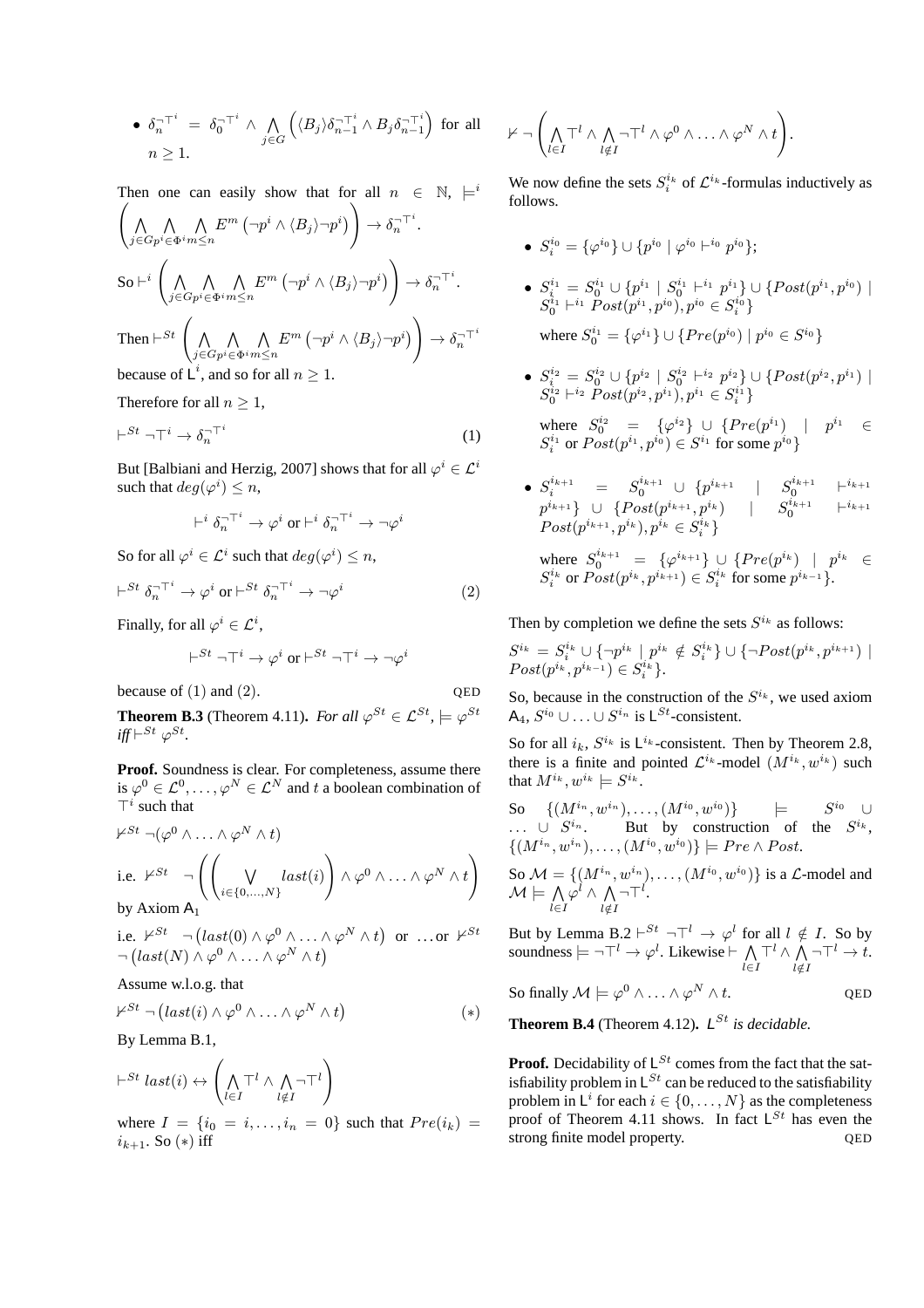• 
$$
\delta_n^{-\top^i} = \delta_0^{-\top^i} \wedge \bigwedge_{j \in G} \left( \langle B_j \rangle \delta_{n-1}^{-\top^i} \wedge B_j \delta_{n-1}^{-\top^i} \right)
$$
 for all  $n \ge 1$ .

Then one can easily show that for all  $n \in \mathbb{N}$ ,  $\models^{i}$  $\left( \right)$ j∈G  $\Lambda$  $p^i \in \Phi^i$  $\Lambda$  $m \leq n$  $E^m \left( \neg p^i \wedge \langle B_j \rangle \neg p^i \right)$  $\setminus$  $\rightarrow \delta_n^{\neg \top^i}.$  $\mathrm{So} \vdash^i \left( \bigwedge$ j∈G  $\Lambda$  $p^i \in \Phi^i$  $\Lambda$  $m \leq n$  $E^m\left(\neg p^i\wedge\langle B_j\rangle\neg p^i\right)$ !  $\rightarrow \delta_n^{\neg \top i}$ . Then  $\vdash^{St}$   $\left( \bigwedge_{j \in G} \right)$  $\Lambda$  $p^i \in \Phi^i$  $\Lambda$  $m \leq n$  $E^m \left( \neg p^i \wedge \langle B_j \rangle \neg p^i \right)$ !  $\rightarrow \delta_n^{\neg \top i}$ because of  $\mathsf{L}^i$ , and so for all  $n \geq 1$ .

Therefore for all  $n \geq 1$ ,

$$
\vdash^{St} \neg \top^i \to \delta_n^{-\top^i} \tag{1}
$$

But [Balbiani and Herzig, 2007] shows that for all  $\varphi^i \in \mathcal{L}^i$ such that  $deg(\varphi^i) \leq n$ ,

$$
\vdash^i \delta_n^{-\top^i} \to \varphi^i \text{ or } \vdash^i \delta_n^{-\top^i} \to \neg \varphi^i
$$

So for all  $\varphi^i \in \mathcal{L}^i$  such that  $deg(\varphi^i) \leq n$ ,

$$
\vdash^{St} \delta_n^{-\top^i} \to \varphi^i \text{ or } \vdash^{St} \delta_n^{-\top^i} \to \neg \varphi^i
$$
 (2)

Finally, for all  $\varphi^i \in \mathcal{L}^i$ ,

$$
\vdash^{St} \neg \top^i \rightarrow \varphi^i \text{ or } \vdash^{St} \neg \top^i \rightarrow \neg \varphi^i
$$

because of  $(1)$  and  $(2)$ . QED

**Theorem B.3** (Theorem 4.11)*. For all*  $\varphi^{St} \in \mathcal{L}^{St}$ ,  $\models \varphi^{St}$  $\int \int \int e^{St} \varphi^{St}$ .

**Proof.** Soundness is clear. For completeness, assume there is  $\varphi^0 \in \mathcal{L}^0, \ldots, \varphi^N \in \mathcal{L}^N$  and t a boolean combination of  $\top^i$  such that

$$
\begin{aligned}\n\n\mathcal{F}^{St} \neg (\varphi^0 \land \dots \land \varphi^N \land t) \\
\text{i.e. } \n\mathcal{F}^{St} \neg \left( \left( \bigvee_{i \in \{0, ..., N\}} \text{last}(i) \right) \land \varphi^0 \land \dots \land \varphi^N \land t \right) \\
\text{by Axiom } A_1\n\end{aligned}
$$

i.e.  $\mathcal{V}^{St} \neg (\text{last}(0) \land \varphi^0 \land \dots \land \varphi^N \land t)$  or ...or  $\mathcal{V}^{St}$  $\neg \left( last(N) \wedge \varphi^0 \wedge \ldots \wedge \varphi^N \wedge t \right)$ 

Assume w.l.o.g. that

$$
\nvdash^{St} \neg \left( last(i) \wedge \varphi^0 \wedge \ldots \wedge \varphi^N \wedge t \right) \qquad (*)
$$

By Lemma B.1,

$$
\vdash^{St} \textit{last}(i) \leftrightarrow \left(\bigwedge_{l \in I} \top^l \land \bigwedge_{l \notin I} \neg \top^l\right)
$$

where  $I = \{i_0 = i, ..., i_n = 0\}$  such that  $Pre(i_k) =$  $i_{k+1}$ . So  $(*)$  iff

$$
\nvdash \neg \left( \bigwedge_{l \in I} \top^l \wedge \bigwedge_{l \notin I} \neg \top^l \wedge \varphi^0 \wedge \ldots \wedge \varphi^N \wedge t \right).
$$

We now define the sets  $S_i^{i_k}$  of  $\mathcal{L}^{i_k}$ -formulas inductively as follows.

- $\bullet \ \ S_i^{i_0} = \{\varphi^{i_0}\} \cup \{p^{i_0} \mid \varphi^{i_0} \vdash^{i_0} p^{i_0}\};$
- $\bullet \ \ S^{i_1}_{i_1} = S^{i_1}_{0} \cup \{p^{i_1} \mid S^{i_1}_0 \vdash^{i_1} p^{i_1}_{0} \} \cup \{Post(p^{i_1}, p^{i_0}) \mid$  $S_0^{i_1} \vdash^{i_1} Post(\overline{p}^{i_1}, p^{i_0}), p^{i_0} \in S_i^{i_0} \}$ where  $S_0^{i_1} = {\varphi^{i_1}} \cup \{Pre(p^{i_0}) \mid p^{i_0} \in S^{i_0} \}$
- $S_{\frac{i}{2}}^{i_2} = S_0^{i_2} \cup \{p^{i_2} \mid S_0^{i_2} \vdash^{i_2} p^{i_2}\} \cup \{Post(p^{i_2}, p^{i_1}) \mid$  $S_0^{i_2} \vdash^{i_2} Post(\overline{p}^{i_2}, p^{i_1}), p^{i_1} \in S_i^{i_1} \}$

where  $S_0^{i_2} = {\varphi^{i_2}} \cup \{Pre(p^{i_1}) \mid p^{i_1} \in$  $S_i^{i_1}$  or  $Post(p^{i_1}, p^{i_0}) \in S^{i_1}$  for some  $p^{i_0}$ 

•  $S_i^{i_{k+1}} = S_0^{i_{k+1}} \cup \{p^{i_{k+1}} \mid S_0^{i_{k+1}} \mid i_{k+1} \}$  $p^{i_{k+1}}\}\;\cup\;\{Post(p^{i_{k+1}},p^{i_k}) \quad \vert \quad \ \ S^{i_{k+1}}_0 \quad \vert ^{-i_{k+1}}$  $Post(p^{i_{k+1}}, p^{i_k}), p^{i_k} \in S_i^{i_k} \}$ where  $S_0^{i_{k+1}} = {\varphi^{i_{k+1}}} \cup \{Pre(p^{i_k}) \mid p^{i_k} \in$  $S_i^{i_k}$  or  $Post(p^{i_k}, p^{i_{k+1}}) \in S_i^{i_k}$  for some  $p^{i_{k-1}}$ .

Then by completion we define the sets  $S^{i_k}$  as follows:

 $S^{i_k} = S_i^{i_k} \cup \{ \neg p^{i_k} \mid p^{i_k} \notin S_i^{i_k} \} \cup \{ \neg Post(p^{i_k}, p^{i_{k+1}}) \mid$  $Post(p^{i_k}, p^{i_{k-1}}) \in S_i^{i_k}$ .

So, because in the construction of the  $S^{i_k}$ , we used axiom A<sub>4</sub>,  $S^{i_0}$  ∪ . . . ∪  $S^{i_n}$  is  $\mathsf{L}^{St}$ -consistent.

So for all  $i_k$ ,  $S^{i_k}$  is  $\mathsf{L}^{i_k}$ -consistent. Then by Theorem 2.8, there is a finite and pointed  $\mathcal{L}^{i_k}$ -model  $(M^{i_k}, w^{i_k})$  such that  $M^{i_k}, w^{i_k} \models S^{i_k}$ .

So 
$$
\{(M^{i_n}, w^{i_n}), \ldots, (M^{i_0}, w^{i_0})\}
$$
  $\models$   $S^{i_0} \cup$   
  $\ldots \cup S^{i_n}$ . But by construction of the  $S^{i_k}$ ,  $\{(M^{i_n}, w^{i_n}), \ldots, (M^{i_0}, w^{i_0})\}$   $\models$  *Pre*  $\land$  *Post*.

So  $\mathcal{M} = \{ (M^{i_n}, w^{i_n}), \dots, (M^{i_0}, w^{i_0}) \}$  is a  $\mathcal{L}$ -model and  $\mathcal{M} \models \bigwedge_{l \in I} \varphi^l \land \bigwedge_{l \notin I} \neg \top^l.$ 

But by Lemma B.2  $\vdash^{St} \neg \top^l \rightarrow \varphi^l$  for all  $l \notin I$ . So by soundness  $\models \neg \top^l \rightarrow \varphi^l$ . Likewise  $\vdash \bigwedge_{l \in I} \top^l \wedge \bigwedge_{l \notin I} \neg \top^l \rightarrow t$ .

So finally 
$$
\mathcal{M} \models \varphi^0 \land \ldots \land \varphi^N \land t
$$
. QED

**Theorem B.4** (Theorem 4.12).  $L^{St}$  *is decidable.* 

**Proof.** Decidability of  $L^{St}$  comes from the fact that the satisfiability problem in  $\mathsf{L}^{St}$  can be reduced to the satisfiability problem in  $L^i$  for each  $i \in \{0, \ldots, N\}$  as the completeness proof of Theorem 4.11 shows. In fact  $L^{St}$  has even the strong finite model property.  $OED$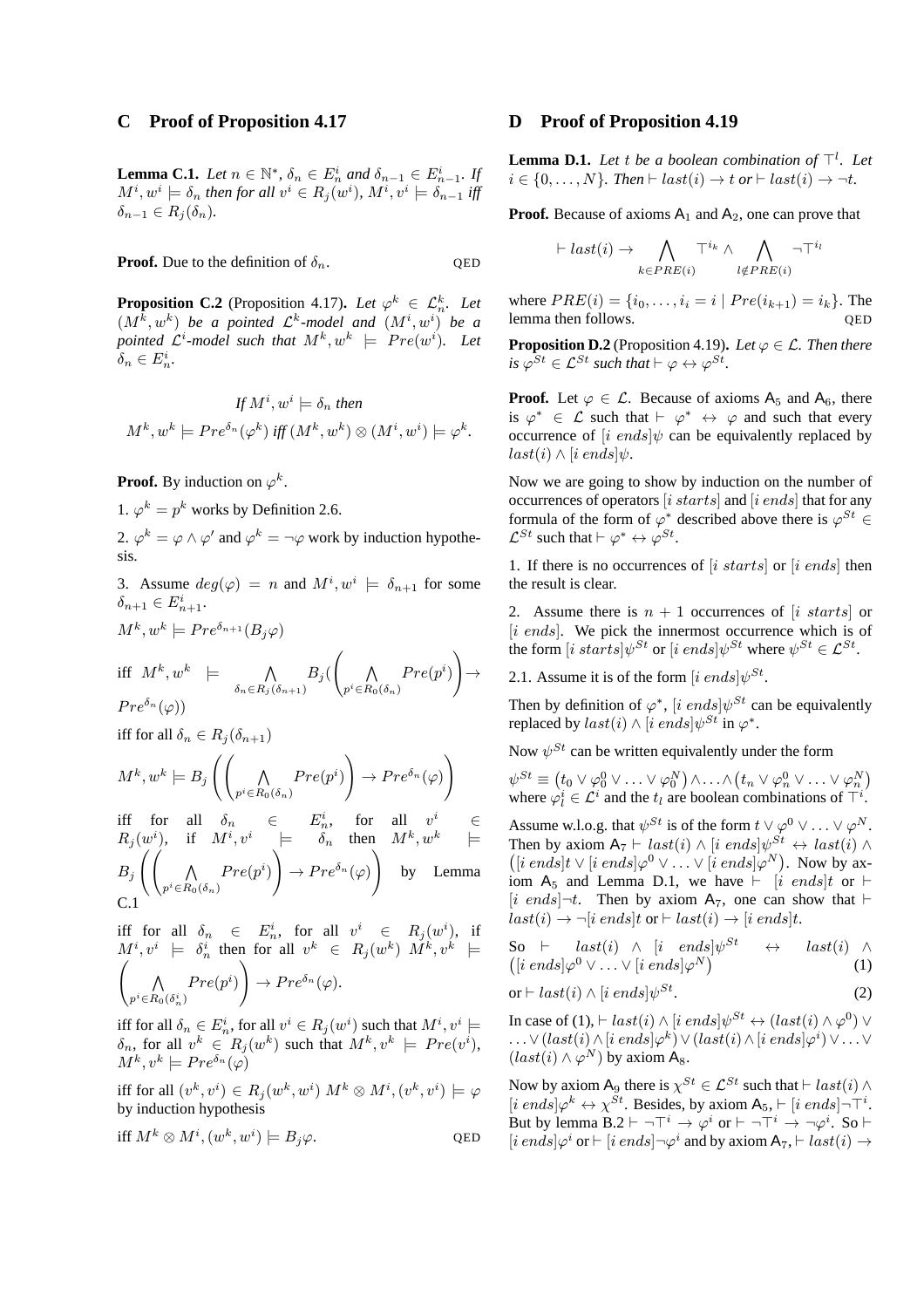# **C Proof of Proposition 4.17**

**Lemma C.1.** *Let*  $n \in \mathbb{N}^*$ ,  $\delta_n \in E_n^i$  and  $\delta_{n-1} \in E_{n-1}^i$ . *If*  $M^i, w^i \models \delta_n$  then for all  $v^i \in R_j(w^i)$ ,  $M^i, v^i \models \delta_{n-1}$  iff  $\delta_{n-1} \in R_i(\delta_n)$ .

**Proof.** Due to the definition of  $\delta_n$ . QED

**Proposition C.2** (Proposition 4.17). Let  $\varphi^k \in \mathcal{L}_n^k$ . Let  $(M^k, w^k)$  be a pointed  $\mathcal{L}^k$ -model and  $(M^i, w^i)$  be a pointed  $\mathcal{L}^i$ -model such that  $M^k, w^k \models \text{Pre}(w^i)$ . Let  $\delta_n \in E_n^i$ .

$$
If M^i, w^i \models \delta_n then
$$
  

$$
M^k, w^k \models Pre^{\delta_n}(\varphi^k) \text{ iff } (M^k, w^k) \otimes (M^i, w^i) \models \varphi^k.
$$

**Proof.** By induction on  $\varphi^k$ .

1.  $\varphi^k = p^k$  works by Definition 2.6.

2.  $\varphi^k = \varphi \wedge \varphi'$  and  $\varphi^k = \neg \varphi$  work by induction hypothesis.

3. Assume  $deg(\varphi) = n$  and  $M^i, w^i \models \delta_{n+1}$  for some  $\delta_{n+1} \in E_{n+1}^i$ .

$$
M^{k}, w^{k} \models Pre^{\delta_{n+1}}(B_{j}\varphi)
$$
  
iff  $M^{k}, w^{k} \models \bigwedge_{\delta_{n} \in R_{j}(\delta_{n+1})} B_{j}(\left(\bigwedge_{p^{i} \in R_{0}(\delta_{n})} Pre(p^{i})\right) \to$   

$$
Pre^{\delta_{n}}(\varphi))
$$

iff for all  $\delta_n \in R_i(\delta_{n+1})$ 

$$
M^k, w^k \models B_j \left( \left( \bigwedge_{p^i \in R_0(\delta_n)} Pre(p^i) \right) \rightarrow Pre^{\delta_n}(\varphi) \right)
$$

iff for all  $\delta_n \in E_n^i$ , for all  $v^i \in$  $R_j (w^i)$ , if  $M^i, v^i \models \delta_n$  then  $M^k, w^k \models$  $B_j$   $\left(\begin{matrix} 1 & 1 \end{matrix}\right)$  $p^i \in R_0(\delta_n)$  $Pre(p^i)$ !  $\rightarrow Pre^{\delta_n}(\varphi)$  $\setminus$ by Lemma C.1

iff for all  $\delta_n \in E_n^i$ , for all  $v^i \in R_j(w^i)$ , if  $M^i, v^i \models \delta_n^i$  then for all  $v^k \in R_j(w^k)$   $M^k, v^k \models$ <br>  $\begin{pmatrix} \Lambda & Pre(v^i) \end{pmatrix} \rightarrow Pre^{\delta_n}(\varphi)$ .  $p^i$ ∈ $R_0(\delta_n^i)$  $Pre(p^i)$ !  $\rightarrow Pre^{\delta_n}(\varphi).$ 

iff for all  $\delta_n \in E_n^i$ , for all  $v^i \in R_j(w^i)$  such that  $M^i, v^i \models$  $\delta_n$ , for all  $v^k \in R_j(w^k)$  such that  $M^k, v^k \models Pre(v^i)$ ,  $M^k, v^k \models Pre^{\delta_n}(\varphi)$ 

iff for all  $(v^k, v^i) \in R_j(w^k, w^i)$   $M^k \otimes M^i$ ,  $(v^k, v^i) \models \varphi$ by induction hypothesis

$$
\text{iff } M^k \otimes M^i, (w^k, w^i) \models B_j \varphi. \tag{QED}
$$

## **D Proof of Proposition 4.19**

**Lemma D.1.** *Let t be a boolean combination of*  $\top$ <sup>*l</sup>. Let*</sup>  $i \in \{0, \ldots, N\}$ . Then  $\vdash last(i) \rightarrow t$  or  $\vdash last(i) \rightarrow \neg t$ .

**Proof.** Because of axioms  $A_1$  and  $A_2$ , one can prove that

$$
\vdash last(i) \rightarrow \bigwedge_{k \in PRE(i)} \top^{i_k} \land \bigwedge_{l \notin PRE(i)} \neg \top^{i_l}
$$

where  $PRE(i) = \{i_0, \ldots, i_i = i \mid Pre(i_{k+1}) = i_k\}$ . The lemma then follows lemma then follows.

**Proposition D.2** (Proposition 4.19). Let  $\varphi \in \mathcal{L}$ . Then there *is*  $\varphi^{St} \in \mathcal{L}^{St}$  *such that*  $\vdash \varphi \leftrightarrow \varphi^{St}$ *.* 

**Proof.** Let  $\varphi \in \mathcal{L}$ . Because of axioms  $A_5$  and  $A_6$ , there is  $\varphi^* \in \mathcal{L}$  such that  $\vdash \varphi^* \leftrightarrow \varphi$  and such that every occurrence of [i ends] $\psi$  can be equivalently replaced by  $last(i) \wedge [i \text{ ends}] \psi.$ 

Now we are going to show by induction on the number of occurrences of operators  $[i \; starts]$  and  $[i \; ends]$  that for any formula of the form of  $\varphi^*$  described above there is  $\varphi^{St} \in$  $\mathcal{L}^{St}$  such that  $\vdash \varphi^* \leftrightarrow \varphi^{St}$ .

1. If there is no occurrences of  $[i \; starts]$  or  $[i \; ends]$  then the result is clear.

2. Assume there is  $n + 1$  occurrences of [i starts] or [i ends]. We pick the innermost occurrence which is of the form  $[i \; starts] \psi^{St}$  or  $[i \; ends] \psi^{St}$  where  $\psi^{St} \in \mathcal{L}^{St}$ .

2.1. Assume it is of the form  $[i \text{ ends}] \psi^{St}$ .

Then by definition of  $\varphi^*$ , [i ends] $\psi^{St}$  can be equivalently replaced by  $last(i) \wedge [i \text{ ends}] \psi^{St}$  in  $\varphi^*$ .

Now  $\psi^{St}$  can be written equivalently under the form

$$
\psi^{St} \equiv (t_0 \lor \varphi_0^0 \lor \dots \lor \varphi_0^N) \land \dots \land (t_n \lor \varphi_n^0 \lor \dots \lor \varphi_n^N)
$$
  
where  $\varphi_l^i \in \mathcal{L}^i$  and the  $t_l$  are boolean combinations of  $\top^i$ .

Assume w.l.o.g. that  $\psi^{St}$  is of the form  $t \vee \varphi^0 \vee \ldots \vee \varphi^N$ . Then by axiom  $A_7 \vdash last(i) \wedge [i \text{ ends}] \psi^{St} \leftrightarrow last(i) \wedge$  $([i \text{ ends}] t \vee [i \text{ ends}] \varphi^0 \vee \ldots \vee [i \text{ ends}] \varphi^N)$ . Now by axiom  $A_5$  and Lemma D.1, we have  $\vdash$  [i ends]t or  $\vdash$  $[i \text{ ends}] \neg t$ . Then by axiom A<sub>7</sub>, one can show that  $\vdash$  $last(i) \rightarrow \neg [i \; ends] t \; or \vdash last(i) \rightarrow [i \; ends] t.$ 

So 
$$
\vdash
$$
 last(i)  $\land$  [i ends] $\psi^{St}$   $\leftrightarrow$  last(i)  $\land$   
([i ends] $\varphi^{0} \lor \dots \lor$  [i ends] $\varphi^{N}$ ) (1)

$$
\text{or} \vdash last(i) \land [i \; ends] \psi^{St}.
$$

In case of (1),  $\vdash last(i) \land [i \text{ ends}] \psi^{St} \leftrightarrow (last(i) \land \varphi^0) \lor$  $\dots \vee (last(i) \wedge [i \ ends] \varphi^k) \vee (last(i) \wedge [i \ ends] \varphi^i) \vee \dots \vee$  $(last(i) \wedge \varphi^N)$  by axiom A<sub>8</sub>.

Now by axiom A<sub>9</sub> there is  $\chi^{St} \in \mathcal{L}^{St}$  such that  $\vdash last(i) \land$  $[i \text{ ends}] \varphi^k \leftrightarrow \chi^{St}$ . Besides, by axiom  $A_5$ ,  $\vdash [i \text{ ends}] \neg \top^i$ . But by lemma  $B.2 \vdash \neg \top^i \rightarrow \varphi^i$  or  $\vdash \neg \top^i \rightarrow \neg \varphi^i$ . So  $\vdash$  $[i \text{ ends} | \varphi^i \text{ or } \vdash [i \text{ ends}] \neg \varphi^i \text{ and by axiom A}7, \vdash last(i) \rightarrow$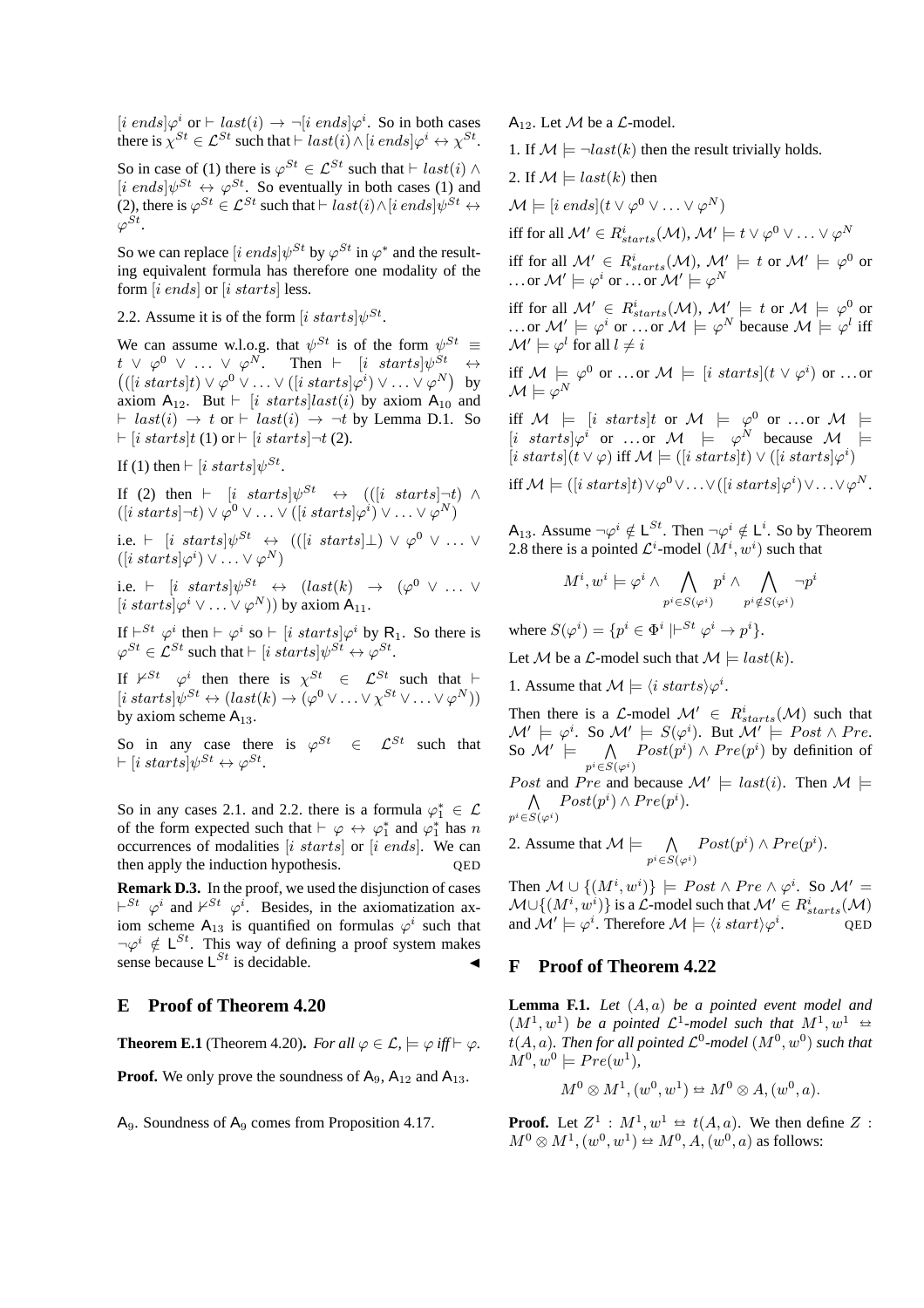$[i \text{ ends}]\varphi^i \text{ or } \vdash last(i) \rightarrow \neg[i \text{ ends}]\varphi^i$ . So in both cases there is  $\chi^{St} \in \mathcal{L}^{St}$  such that  $\vdash last(i) \land [i \text{ ends} | \varphi^i \leftrightarrow \chi^{St}$ .

So in case of (1) there is  $\varphi^{St} \in \mathcal{L}^{St}$  such that  $\vdash last(i) \land$  $[i \text{ ends}] \psi^{St} \leftrightarrow \varphi^{St}$ . So eventually in both cases (1) and (2), there is  $\varphi^{St} \in \mathcal{L}^{St}$  such that  $\vdash last(i) \wedge [i \text{ ends}] \psi^{St} \leftrightarrow$  $\varphi^{St}$ .

So we can replace  $[i \text{ ends}] \psi^{St}$  by  $\varphi^{St}$  in  $\varphi^*$  and the resulting equivalent formula has therefore one modality of the form [i ends] or [i starts] less.

### 2.2. Assume it is of the form  $[i$  starts $]\psi^{St}$ .

We can assume w.l.o.g. that  $\psi^{St}$  is of the form  $\psi^{St} \equiv$  $t \vee \varphi^0 \vee \ldots \vee \varphi^N$ . Then  $\vdash$   $[i \; starts] \psi^{St} \leftrightarrow$ <br>(([i starts]t)  $\vee \varphi^0 \vee \ldots \vee ([i \; starts] \varphi^i) \vee \ldots \vee \varphi^N$ ) by  $([i \; starts] t) \vee \varphi^0 \vee \ldots \vee ([i \; starts] \varphi^i) \vee \ldots \vee \varphi^N)$  by axiom  $A_{12}$ . But  $\vdash$  [*i starts*]*last(i)* by axiom  $A_{10}$  and  $\vdash$  last(i)  $\rightarrow$  t or  $\vdash$  last(i)  $\rightarrow$   $\neg$ t by Lemma D.1. So  $\vdash$  [i starts]t (1) or  $\vdash$  [i starts] $\neg t$  (2).

If (1) then  $\vdash$  [i starts] $\psi^{St}$ .

If (2) then  $\vdash$  [i starts] $\psi^{St} \leftrightarrow (([i \; starts] \neg t) \land$  $([i \; starts] \neg t) \vee \varphi^0 \vee \ldots \vee ([i \; starts] \varphi^i) \vee \ldots \vee \varphi^N)$ 

i.e.  $\vdash$  [i starts] $\psi^{St} \leftrightarrow (([i \; starts] \bot) \vee \varphi^0 \vee \dots \vee$  $([i \; starts] \varphi^i) \vee \ldots \vee \varphi^N)$ 

i.e.  $\vdash$  [i starts] $\psi^{St} \leftrightarrow$  (last(k)  $\rightarrow$  ( $\varphi^0$   $\vee$  ...  $\vee$  $[i \; starts] \varphi^i \vee ... \vee \varphi^N)$  by axiom  $A_{11}$ .

If  $\vdash^{St} \varphi^i$  then  $\vdash \varphi^i$  so  $\vdash [i \; starts] \varphi^i$  by R<sub>1</sub>. So there is  $\varphi^{St} \in \mathcal{L}^{St}$  such that  $\vdash$  [i starts] $\psi^{St} \leftrightarrow \varphi^{St}$ .

If  $\mathcal{V}^{St}$   $\varphi^i$  then there is  $\chi^{St} \in \mathcal{L}^{St}$  such that  $\vdash$  $[i starts] \psi^{St} \leftrightarrow (last(k) \rightarrow (\varphi^0 \vee \ldots \vee \chi^{St} \vee \ldots \vee \varphi^N))$ by axiom scheme  $A_{13}$ .

So in any case there is  $\varphi^{St} \in \mathcal{L}^{St}$  such that  $\vdash$  [i starts] $\psi^{St} \leftrightarrow \varphi^{St}$ .

So in any cases 2.1. and 2.2. there is a formula  $\varphi_1^* \in \mathcal{L}$ of the form expected such that  $\vdash \varphi \leftrightarrow \varphi_1^*$  and  $\varphi_1^*$  has n occurrences of modalities  $[i \; starts]$  or  $[i \; ends]$ . We can then apply the induction hypothesis. QED

**Remark D.3.** In the proof, we used the disjunction of cases  $\vdash^{St} \varphi^i$  and  $\nvdash^{St} \varphi^i$ . Besides, in the axiomatization axiom scheme A<sub>13</sub> is quantified on formulas  $\varphi^i$  such that  $\neg \varphi^i \notin L^{St}$ . This way of defining a proof system makes sense because  $L^{St}$  is decidable.

# **E Proof of Theorem 4.20**

**Theorem E.1** (Theorem 4.20). *For all*  $\varphi \in \mathcal{L}$ ,  $\models \varphi$  *iff*  $\models \varphi$ *.* 

**Proof.** We only prove the soundness of  $A_9$ ,  $A_{12}$  and  $A_{13}$ .

 $A_9$ . Soundness of  $A_9$  comes from Proposition 4.17.

 $A_{12}$ . Let M be a  $\mathcal{L}$ -model.

1. If  $\mathcal{M} \models \neg last(k)$  then the result trivially holds.

2. If 
$$
M \models last(k)
$$
 then

$$
\mathcal{M} \models [i \text{ ends}](t \vee \varphi^0 \vee \ldots \vee \varphi^N)
$$

iff for all  $\mathcal{M}'\in R^{i}_{starts}(\mathcal{M}),$   $\mathcal{M}'\models t\vee \varphi^{0}\vee\ldots\vee \varphi^{N}$ 

iff for all  $\mathcal{M}' \in R_{starts}^i(\mathcal{M}), \, \mathcal{M}' \models t$  or  $\mathcal{M}' \models \varphi^0$  or ...or  $\mathcal{M}'\models \varphi^i$  or  $\ldots$  or  $\mathcal{M}'\models \varphi^N$ 

iff for all  $\mathcal{M}' \in R_{starts}^i(\mathcal{M}), \, \mathcal{M}' \models t$  or  $\mathcal{M} \models \varphi^0$  or ... or  $M' \models \varphi^i$  or ... or  $M \models \varphi^N$  because  $M \models \varphi^l$  iff  $\mathcal{M}' \models \varphi^l$  for all  $l \neq i$ 

iff  $\mathcal{M} \models \varphi^0$  or ...or  $\mathcal{M} \models [i \; starts](t \vee \varphi^i)$  or ...or  $\mathcal{M} \models \varphi^N$ 

iff  $M = [i \; starts]t$  or  $M = \varphi^0$  or ...or  $M =$  $[i \; starts] \varphi^i$  or ...or  $\mathcal{M} \models \varphi^N$  because  $\mathcal{M} \models$  $[i\ starts](t\vee\varphi)$  iff  $\mathcal{M} \models ([i\ starts]t) \vee ([i\ starts]\varphi^i)$ 

iff  $\mathcal{M} \models ([i \; starts]t) \vee \varphi^0 \vee \ldots \vee ([i \; starts] \varphi^i) \vee \ldots \vee \varphi^N.$ 

A<sub>13</sub>. Assume  $\neg \varphi^i \notin L^{St}$ . Then  $\neg \varphi^i \notin L^i$ . So by Theorem 2.8 there is a pointed  $\mathcal{L}^i$ -model  $(M^i, w^i)$  such that

$$
M^i, w^i \models \varphi^i \land \bigwedge_{p^i \in S(\varphi^i)} p^i \land \bigwedge_{p^i \notin S(\varphi^i)} \neg p^i
$$

where  $S(\varphi^i) = \{p^i \in \Phi^i \mid \vdash^{St} \varphi^i \to p^i\}.$ 

Let M be a  $\mathcal{L}$ -model such that  $\mathcal{M} \models last(k)$ .

1. Assume that  $\mathcal{M} \models \langle i \; starts \rangle \varphi^i$ .

Then there is a  $\mathcal{L}\text{-model}$   $\mathcal{M}' \in R_{starts}^i(\mathcal{M})$  such that  $\mathcal{M}'\models \varphi^i.$  So  $\mathcal{M}'\models S(\varphi^i).$  But  $\mathcal{M}'\models \mathit{Post} \wedge \mathit{Pre}.$ So  $\mathcal{M}' \models \bigwedge_{p^i \in S(\varphi^i)}$  $Post(p<sup>i</sup>) \wedge Pre(p<sup>i</sup>)$  by definition of

Post and Pre and because  $\mathcal{M}' \models last(i)$ . Then  $\mathcal{M} \models$  $p^i {\in} S(\varphi^i)$  $Post(p^i) \wedge Pre(p^i).$ 

2. Assume that  $\mathcal{M} \models \bigwedge_{p^i \in S(\varphi^i)}$  $Post(p^i) \wedge Pre(p^i).$ 

Then  $\mathcal{M} \cup \{(M^i, w^i)\}\models Post \land Pre \land \varphi^i$ . So  $\mathcal{M}' =$  $\mathcal{M} \cup \{(M^{i}, w^{i})\}$  is a  $\mathcal{L}\text{-model}$  such that  $\mathcal{M}' \in R^{i}_{starts}(\mathcal{M})$ and  $\mathcal{M}' \models \varphi^i$ . Therefore  $\mathcal{M} \models \langle i \; start \rangle \varphi^i$ . QED

#### **F Proof of Theorem 4.22**

**Lemma F.1.** *Let* (A, a) *be a pointed event model and*  $(M^1, w^1)$  *be a pointed*  $\mathcal{L}^1$ -model such that  $M^1, w^1 \leftrightarrow$  $t(A, a)$ *. Then for all pointed*  $\mathcal{L}^0$ -model  $(M^0, w^0)$  *such that*  $M^0, w^0 \models Pre(w^1),$ 

$$
M^0 \otimes M^1, (w^0, w^1) \Leftrightarrow M^0 \otimes A, (w^0, a).
$$

**Proof.** Let  $Z^1$  :  $M^1, w^1 \Leftrightarrow t(A, a)$ . We then define Z :  $M^{0} \otimes M^{1}$ ,  $(w^{0}, w^{1}) \cong M^{0}$ ,  $A$ ,  $(w^{0}, a)$  as follows: